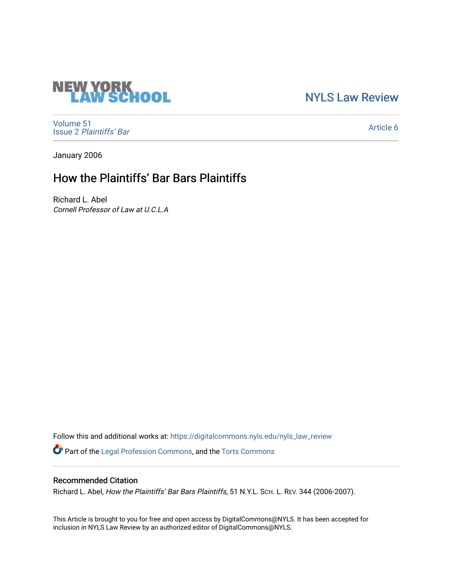# [NYLS Law Review](https://digitalcommons.nyls.edu/nyls_law_review)

[Volume 51](https://digitalcommons.nyls.edu/nyls_law_review/vol51) Issue 2 [Plaintiffs' Bar](https://digitalcommons.nyls.edu/nyls_law_review/vol51/iss2)

[Article 6](https://digitalcommons.nyls.edu/nyls_law_review/vol51/iss2/6) 

January 2006

# How the Plaintiffs' Bar Bars Plaintiffs

Richard L. Abel Cornell Professor of Law at U.C.L.A

**NEW YORK<br>LAW SCHOOL** 

Follow this and additional works at: [https://digitalcommons.nyls.edu/nyls\\_law\\_review](https://digitalcommons.nyls.edu/nyls_law_review?utm_source=digitalcommons.nyls.edu%2Fnyls_law_review%2Fvol51%2Fiss2%2F6&utm_medium=PDF&utm_campaign=PDFCoverPages) 

Part of the [Legal Profession Commons](https://network.bepress.com/hgg/discipline/1075?utm_source=digitalcommons.nyls.edu%2Fnyls_law_review%2Fvol51%2Fiss2%2F6&utm_medium=PDF&utm_campaign=PDFCoverPages), and the [Torts Commons](https://network.bepress.com/hgg/discipline/913?utm_source=digitalcommons.nyls.edu%2Fnyls_law_review%2Fvol51%2Fiss2%2F6&utm_medium=PDF&utm_campaign=PDFCoverPages)

# Recommended Citation

Richard L. Abel, How the Plaintiffs' Bar Bars Plaintiffs, 51 N.Y.L. SCH. L. REV. 344 (2006-2007).

This Article is brought to you for free and open access by DigitalCommons@NYLS. It has been accepted for inclusion in NYLS Law Review by an authorized editor of DigitalCommons@NYLS.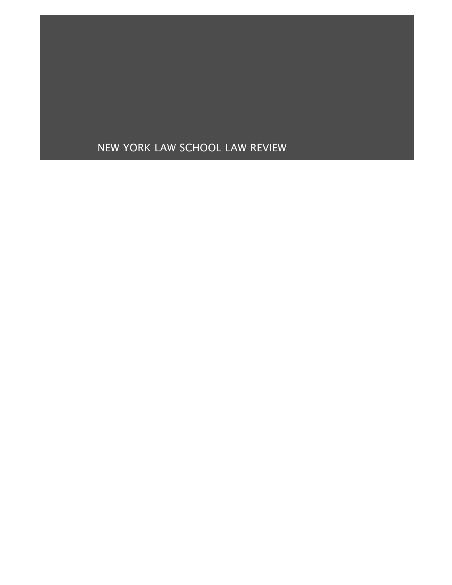# NEW YORK LAW SCHOOL LAW REVIEW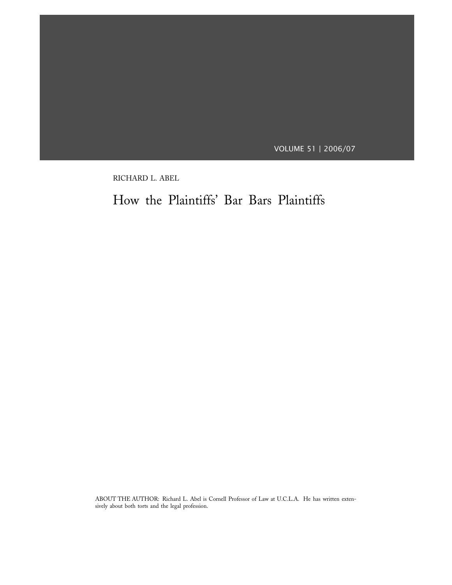VOLUME 51 | 2006/07

RICHARD L. ABEL

How the Plaintiffs' Bar Bars Plaintiffs

ABOUT THE AUTHOR: Richard L. Abel is Cornell Professor of Law at U.C.L.A. He has written extensively about both torts and the legal profession.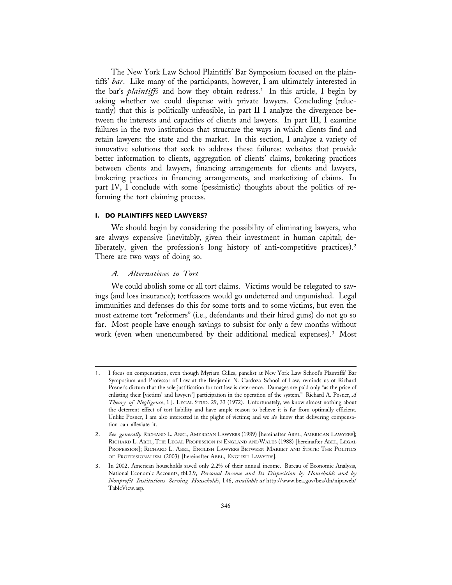The New York Law School Plaintiffs' Bar Symposium focused on the plaintiffs' *bar*. Like many of the participants, however, I am ultimately interested in the bar's *plaintiffs* and how they obtain redress.<sup>1</sup> In this article, I begin by asking whether we could dispense with private lawyers. Concluding (reluctantly) that this is politically unfeasible, in part II I analyze the divergence between the interests and capacities of clients and lawyers. In part III, I examine failures in the two institutions that structure the ways in which clients find and retain lawyers: the state and the market. In this section, I analyze a variety of innovative solutions that seek to address these failures: websites that provide better information to clients, aggregation of clients' claims, brokering practices between clients and lawyers, financing arrangements for clients and lawyers, brokering practices in financing arrangements, and marketizing of claims. In part IV, I conclude with some (pessimistic) thoughts about the politics of reforming the tort claiming process.

### **I. DO PLAINTIFFS NEED LAWYERS?**

We should begin by considering the possibility of eliminating lawyers, who are always expensive (inevitably, given their investment in human capital; deliberately, given the profession's long history of anti-competitive practices).<sup>2</sup> There are two ways of doing so.

#### *A. Alternatives to Tort*

We could abolish some or all tort claims. Victims would be relegated to savings (and loss insurance); tortfeasors would go undeterred and unpunished. Legal immunities and defenses do this for some torts and to some victims, but even the most extreme tort "reformers" (i.e., defendants and their hired guns) do not go so far. Most people have enough savings to subsist for only a few months without work (even when unencumbered by their additional medical expenses).3 Most

<sup>1.</sup> I focus on compensation, even though Myriam Gilles, panelist at New York Law School's Plaintiffs' Bar Symposium and Professor of Law at the Benjamin N. Cardozo School of Law, reminds us of Richard Posner's dictum that the sole justification for tort law is deterrence. Damages are paid only "as the price of enlisting their [victims' and lawyers'] participation in the operation of the system." Richard A. Posner, *A Theory of Negligence*, 1 J. LEGAL STUD. 29, 33 (1972). Unfortunately, we know almost nothing about the deterrent effect of tort liability and have ample reason to believe it is far from optimally efficient. Unlike Posner, I am also interested in the plight of victims; and we *do* know that delivering compensation can alleviate it.

<sup>2.</sup> *See generally* RICHARD L. ABEL, AMERICAN LAWYERS (1989) [hereinafter ABEL, AMERICAN LAWYERS]; RICHARD L. ABEL, THE LEGAL PROFESSION IN ENGLAND AND WALES (1988) [hereinafter ABEL, LEGAL PROFESSION]; RICHARD L. ABEL, ENGLISH LAWYERS BETWEEN MARKET AND STATE: THE POLITICS OF PROFESSIONALISM (2003) [hereinafter ABEL, ENGLISH LAWYERS].

<sup>3.</sup> In 2002, American households saved only 2.2% of their annual income. Bureau of Economic Analysis, National Economic Accounts, tbl.2.9, *Personal Income and Its Disposition by Households and by Nonprofit Institutions Serving Households*, l.46, *available at* http://www.bea.gov/bea/dn/nipaweb/ TableView.asp.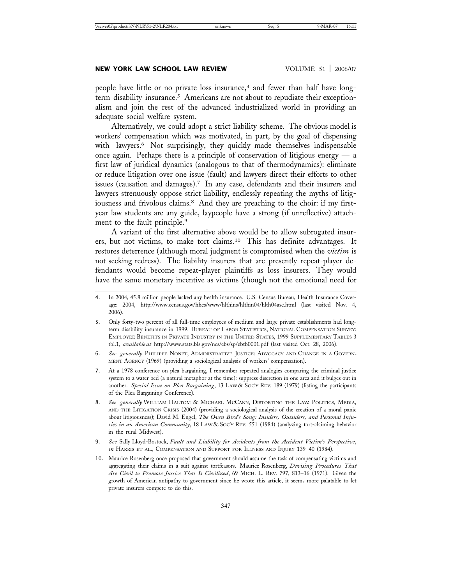#### **NEW YORK LAW SCHOOL LAW REVIEW VOLUME 51 | 2006/07**

people have little or no private loss insurance,<sup>4</sup> and fewer than half have longterm disability insurance.<sup>5</sup> Americans are not about to repudiate their exceptionalism and join the rest of the advanced industrialized world in providing an adequate social welfare system.

Alternatively, we could adopt a strict liability scheme. The obvious model is workers' compensation which was motivated, in part, by the goal of dispensing with lawyers.<sup>6</sup> Not surprisingly, they quickly made themselves indispensable once again. Perhaps there is a principle of conservation of litigious energy  $-$  a first law of juridical dynamics (analogous to that of thermodynamics): eliminate or reduce litigation over one issue (fault) and lawyers direct their efforts to other issues (causation and damages).7 In any case, defendants and their insurers and lawyers strenuously oppose strict liability, endlessly repeating the myths of litigiousness and frivolous claims.<sup>8</sup> And they are preaching to the choir: if my firstyear law students are any guide, laypeople have a strong (if unreflective) attachment to the fault principle.<sup>9</sup>

A variant of the first alternative above would be to allow subrogated insurers, but not victims, to make tort claims.10 This has definite advantages. It restores deterrence (although moral judgment is compromised when the *victim* is not seeking redress). The liability insurers that are presently repeat-player defendants would become repeat-player plaintiffs as loss insurers. They would have the same monetary incentive as victims (though not the emotional need for

- 6. *See generally* PHILIPPE NONET, ADMINISTRATIVE JUSTICE: ADVOCACY AND CHANGE IN A GOVERN-MENT AGENCY (1969) (providing a sociological analysis of workers' compensation).
- 7. At a 1978 conference on plea bargaining, I remember repeated analogies comparing the criminal justice system to a water bed (a natural metaphor at the time): suppress discretion in one area and it bulges out in another. *Special Issue on Plea Bargaining*, 13 LAW & SOC'Y REV. 189 (1979) (listing the participants of the Plea Bargaining Conference).
- 8. *See generally* WILLIAM HALTOM & MICHAEL MCCANN, DISTORTING THE LAW: POLITICS, MEDIA, AND THE LITIGATION CRISIS (2004) (providing a sociological analysis of the creation of a moral panic about litigiousness); David M. Engel, *The Oven Bird's Song: Insiders, Outsiders, and Personal Injuries in an American Community*, 18 LAW & SOC'Y REV. 551 (1984) (analyzing tort-claiming behavior in the rural Midwest).
- 9. *See* Sally Lloyd-Bostock, *Fault and Liability for Accidents from the Accident Victim's Perspective*, *in* HARRIS ET AL., COMPENSATION AND SUPPORT FOR ILLNESS AND INJURY 139–40 (1984).
- 10. Maurice Rosenberg once proposed that government should assume the task of compensating victims and aggregating their claims in a suit against tortfeasors. Maurice Rosenberg, *Devising Procedures That Are Civil to Promote Justice That Is Civilized*, 69 MICH. L. REV. 797, 813–16 (1971). Given the growth of American antipathy to government since he wrote this article, it seems more palatable to let private insurers compete to do this.

<sup>4.</sup> In 2004, 45.8 million people lacked any health insurance. U.S. Census Bureau, Health Insurance Coverage: 2004, http://www.census.gov/hhes/www/hlthins/hlthin04/hlth04asc.html (last visited Nov. 4, 2006).

<sup>5.</sup> Only forty-two percent of all full-time employees of medium and large private establishments had longterm disability insurance in 1999. BUREAU OF LABOR STATISTICS, NATIONAL COMPENSATION SURVEY: EMPLOYEE BENEFITS IN PRIVATE INDUSTRY IN THE UNITED STATES, 1999 SUPPLEMENTARY TABLES 3 tbl.1, *available at* http://www.stats.bls.gov/ncs/ebs/sp/ebtb0001.pdf (last visited Oct. 28, 2006).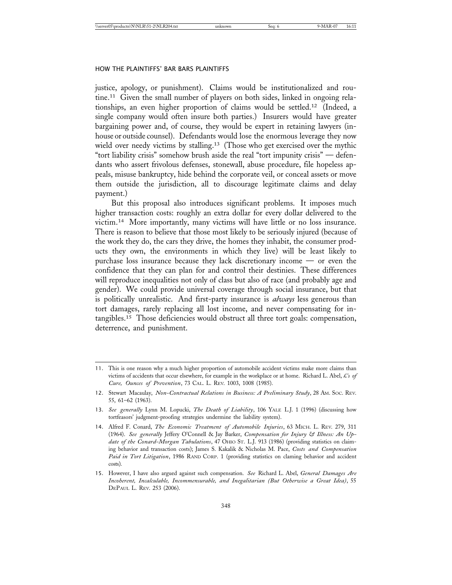justice, apology, or punishment). Claims would be institutionalized and routine.<sup>11</sup> Given the small number of players on both sides, linked in ongoing relationships, an even higher proportion of claims would be settled.12 (Indeed, a single company would often insure both parties.) Insurers would have greater bargaining power and, of course, they would be expert in retaining lawyers (inhouse or outside counsel). Defendants would lose the enormous leverage they now wield over needy victims by stalling.<sup>13</sup> (Those who get exercised over the mythic "tort liability crisis" somehow brush aside the real "tort impunity crisis" — defendants who assert frivolous defenses, stonewall, abuse procedure, file hopeless appeals, misuse bankruptcy, hide behind the corporate veil, or conceal assets or move them outside the jurisdiction, all to discourage legitimate claims and delay payment.)

But this proposal also introduces significant problems. It imposes much higher transaction costs: roughly an extra dollar for every dollar delivered to the victim.14 More importantly, many victims will have little or no loss insurance. There is reason to believe that those most likely to be seriously injured (because of the work they do, the cars they drive, the homes they inhabit, the consumer products they own, the environments in which they live) will be least likely to purchase loss insurance because they lack discretionary income — or even the confidence that they can plan for and control their destinies. These differences will reproduce inequalities not only of class but also of race (and probably age and gender). We could provide universal coverage through social insurance, but that is politically unrealistic. And first-party insurance is *always* less generous than tort damages, rarely replacing all lost income, and never compensating for intangibles.15 Those deficiencies would obstruct all three tort goals: compensation, deterrence, and punishment.

<sup>11.</sup> This is one reason why a much higher proportion of automobile accident victims make more claims than victims of accidents that occur elsewhere, for example in the workplace or at home. Richard L. Abel, *£'s of Cure, Ounces of Prevention*, 73 CAL. L. REV. 1003, 1008 (1985).

<sup>12.</sup> Stewart Macaulay, *Non-Contractual Relations in Business: A Preliminary Study*, 28 AM. SOC. REV. 55, 61–62 (1963).

<sup>13.</sup> *See generally* Lynn M. Lopucki, *The Death of Liability*, 106 YALE L.J. 1 (1996) (discussing how tortfeasors' judgment-proofing strategies undermine the liability system).

<sup>14.</sup> Alfred F. Conard, *The Economic Treatment of Automobile Injuries*, 63 MICH. L. REV. 279, 311 (1964). *See generally* Jeffery O'Connell & Jay Barker, *Compensation for Injury & Illness: An Update of the Conard-Morgan Tabulations*, 47 OHIO ST. L.J. 913 (1986) (providing statistics on claiming behavior and transaction costs); James S. Kakalik & Nicholas M. Pace, *Costs and Compensation Paid in Tort Litigation*, 1986 RAND CORP. 1 (providing statistics on claming behavior and accident costs).

<sup>15.</sup> However, I have also argued against such compensation. *See* Richard L. Abel, *General Damages Are Incoherent, Incalculable, Incommensurable, and Inegalitarian (But Otherwise a Great Idea)*, 55 DEPAUL L. REV. 253 (2006).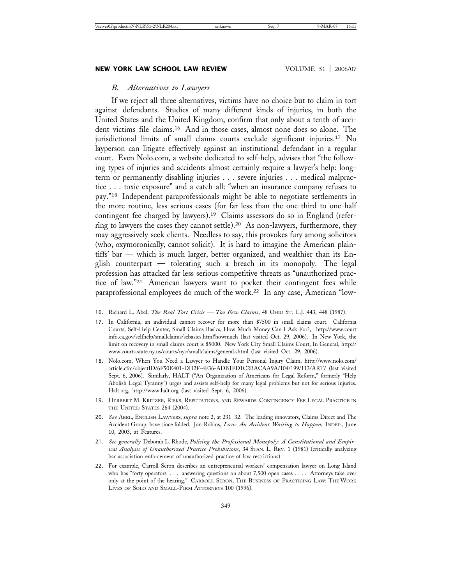### *B. Alternatives to Lawyers*

If we reject all three alternatives, victims have no choice but to claim in tort against defendants. Studies of many different kinds of injuries, in both the United States and the United Kingdom, confirm that only about a tenth of accident victims file claims.16 And in those cases, almost none does so alone. The jurisdictional limits of small claims courts exclude significant injuries.17 No layperson can litigate effectively against an institutional defendant in a regular court. Even Nolo.com, a website dedicated to self-help, advises that "the following types of injuries and accidents almost certainly require a lawyer's help: longterm or permanently disabling injuries . . . severe injuries . . . medical malpractice . . . toxic exposure" and a catch-all: "when an insurance company refuses to pay."18 Independent paraprofessionals might be able to negotiate settlements in the more routine, less serious cases (for far less than the one-third to one-half contingent fee charged by lawyers).19 Claims assessors do so in England (referring to lawyers the cases they cannot settle).20 As non-lawyers, furthermore, they may aggressively seek clients. Needless to say, this provokes fury among solicitors (who, oxymoronically, cannot solicit). It is hard to imagine the American plaintiffs' bar — which is much larger, better organized, and wealthier than its English counterpart — tolerating such a breach in its monopoly. The legal profession has attacked far less serious competitive threats as "unauthorized practice of law."21 American lawyers want to pocket their contingent fees while paraprofessional employees do much of the work.22 In any case, American "low-

- 18. Nolo.com, When You Need a Lawyer to Handle Your Personal Injury Claim, http://www.nolo.com/ article.cfm/objectID/6F50E401-DD2F-4F36-ADB1FD1C2BACAA9A/104/199/113/ART/ (last visited Sept. 6, 2006). Similarly, HALT ("An Organization of Americans for Legal Reform," formerly "Help Abolish Legal Tyranny") urges and assists self-help for many legal problems but not for serious injuries. Halt.org, http://www.halt.org (last visited Sept. 6, 2006).
- 19. HERBERT M. KRITZER, RISKS, REPUTATIONS, AND REWARDS: CONTINGENCY FEE LEGAL PRACTICE IN THE UNITED STATES 264 (2004).
- 20. *See* ABEL, ENGLISH LAWYERS, *supra* note 2, at 231–32. The leading innovators, Claims Direct and The Accident Group, have since folded. Jon Robins, *Law: An Accident Waiting to Happen,* INDEP., June 10, 2003, at Features.
- 21. *See generally* Deborah L. Rhode, *Policing the Professional Monopoly: A Constitutional and Empirical Analysis of Unauthorized Practice Prohibitions*, 34 STAN. L. REV. 1 (1981) (critically analyzing bar association enforcement of unauthorized practice of law restrictions).
- 22. For example, Carroll Seron describes an entrepreneurial workers' compensation lawyer on Long Island who has "forty operators . . . answering questions on about 7,500 open cases . . . . Attorneys take over only at the point of the hearing." CARROLL SERON, THE BUSINESS OF PRACTICING LAW: THE WORK LIVES OF SOLO AND SMALL-FIRM ATTORNEYS 100 (1996).

<sup>16.</sup> Richard L. Abel, *The Real Tort Crisis — Too Few Claims*, 48 OHIO ST. L.J. 443, 448 (1987).

<sup>17.</sup> In California, an individual cannot recover for more than \$7500 in small claims court. California Courts, Self-Help Center, Small Claims Basics, How Much Money Can I Ask For?, http://www.court info.ca.gov/selfhelp/smallclaims/scbasics.htm#howmuch (last visited Oct. 29, 2006). In New York, the limit on recovery in small claims court is \$5000. New York City Small Claims Court, In General, http:// www.courts.state.ny.us/courts/nyc/smallclaims/general.shtml (last visited Oct. 29, 2006).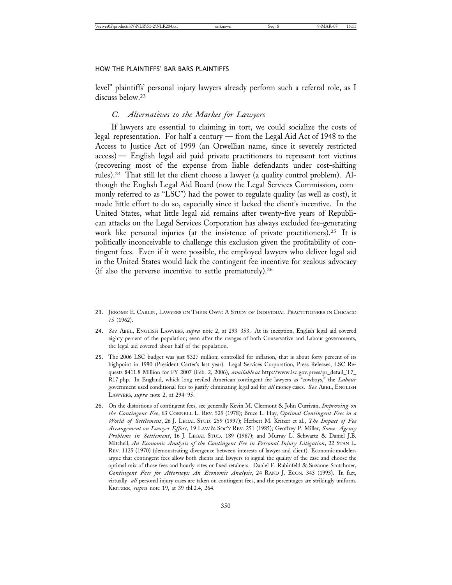level" plaintiffs' personal injury lawyers already perform such a referral role, as I discuss below.<sup>23</sup>

#### *C. Alternatives to the Market for Lawyers*

If lawyers are essential to claiming in tort, we could socialize the costs of legal representation. For half a century — from the Legal Aid Act of 1948 to the Access to Justice Act of 1999 (an Orwellian name, since it severely restricted access) — English legal aid paid private practitioners to represent tort victims (recovering most of the expense from liable defendants under cost-shifting rules).24 That still let the client choose a lawyer (a quality control problem). Although the English Legal Aid Board (now the Legal Services Commission, commonly referred to as "LSC") had the power to regulate quality (as well as cost), it made little effort to do so, especially since it lacked the client's incentive. In the United States, what little legal aid remains after twenty-five years of Republican attacks on the Legal Services Corporation has always excluded fee-generating work like personal injuries (at the insistence of private practitioners).<sup>25</sup> It is politically inconceivable to challenge this exclusion given the profitability of contingent fees. Even if it were possible, the employed lawyers who deliver legal aid in the United States would lack the contingent fee incentive for zealous advocacy (if also the perverse incentive to settle prematurely).26

- 25. The 2006 LSC budget was just \$327 million; controlled for inflation, that is about forty percent of its highpoint in 1980 (President Carter's last year). Legal Services Corporation, Press Releases, LSC Requests \$411.8 Million for FY 2007 (Feb. 2, 2006), *available at* http://www.lsc.gov.press/pr\_detail\_T7\_ R17.php. In England, which long reviled American contingent fee lawyers as "cowboys," the *Labour* government used conditional fees to justify eliminating legal aid for *all* money cases. *See* ABEL, ENGLISH LAWYERS, *supra* note 2, at 294–95.
- 26. On the distortions of contingent fees, see generally Kevin M. Clermont & John Currivan, *Improving on the Contingent Fee*, 63 CORNELL L. REV. 529 (1978); Bruce L. Hay, *Optimal Contingent Fees in a World of Settlement*, 26 J. LEGAL STUD. 259 (1997); Herbert M. Kritzer et al., *The Impact of Fee Arrangement on Lawyer Effort*, 19 LAW & SOC'Y REV. 251 (1985); Geoffrey P. Miller, *Some Agency Problems in Settlement*, 16 J. LEGAL STUD. 189 (1987); and Murray L. Schwartz & Daniel J.B. Mitchell, *An Economic Analysis of the Contingent Fee in Personal Injury Litigation*, 22 STAN L. REV. 1125 (1970) (demonstrating divergence between interests of lawyer and client). Economic modelers argue that contingent fees allow both clients and lawyers to signal the quality of the case and choose the optimal mix of those fees and hourly rates or fixed retainers. Daniel F. Rubinfeld & Suzanne Scotchmer, *Contingent Fees for Attorneys: An Economic Analysis*, 24 RAND J. ECON. 343 (1993). In fact, virtually *all* personal injury cases are taken on contingent fees, and the percentages are strikingly uniform. KRITZER, *supra* note 19, at 39 tbl.2.4, 264.

<sup>23.</sup> JEROME E. CARLIN, LAWYERS ON THEIR OWN: A STUDY OF INDIVIDUAL PRACTITIONERS IN CHICAGO 75 (1962).

<sup>24.</sup> *See* ABEL, ENGLISH LAWYERS, *supra* note 2, at 293–353. At its inception, English legal aid covered eighty percent of the population; even after the ravages of both Conservative and Labour governments, the legal aid covered about half of the population.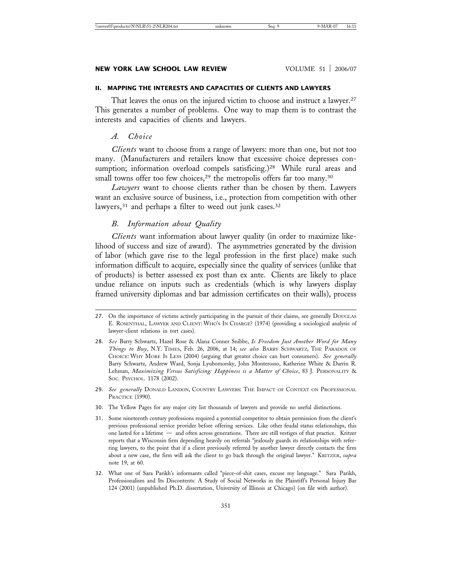#### **II. MAPPING THE INTERESTS AND CAPACITIES OF CLIENTS AND LAWYERS**

That leaves the onus on the injured victim to choose and instruct a lawyer.<sup>27</sup> This generates a number of problems. One way to map them is to contrast the interests and capacities of clients and lawyers.

### *A. Choice*

*Clients* want to choose from a range of lawyers: more than one, but not too many. (Manufacturers and retailers know that excessive choice depresses consumption; information overload compels satisficing.)<sup>28</sup> While rural areas and small towns offer too few choices,<sup>29</sup> the metropolis offers far too many.<sup>30</sup>

*Lawyers* want to choose clients rather than be chosen by them. Lawyers want an exclusive source of business, i.e., protection from competition with other lawyers,<sup>31</sup> and perhaps a filter to weed out junk cases.<sup>32</sup>

#### *B. Information about Quality*

*Clients* want information about lawyer quality (in order to maximize likelihood of success and size of award). The asymmetries generated by the division of labor (which gave rise to the legal profession in the first place) make such information difficult to acquire, especially since the quality of services (unlike that of products) is better assessed ex post than ex ante. Clients are likely to place undue reliance on inputs such as credentials (which is why lawyers display framed university diplomas and bar admission certificates on their walls), process

- 29. *See generally* DONALD LANDON, COUNTRY LAWYERS: THE IMPACT OF CONTEXT ON PROFESSIONAL PRACTICE (1990).
- 30. The Yellow Pages for any major city list thousands of lawyers and provide no useful distinctions.
- 31. Some nineteenth century professions required a potential competitor to obtain permission from the client's previous professional service provider before offering services. Like other feudal status relationships, this one lasted for a lifetime — and often across generations. There are still vestiges of that practice. Kritzer reports that a Wisconsin firm depending heavily on referrals "jealously guards its relationships with referring lawyers, to the point that if a client previously referred by another lawyer directly contacts the firm about a new case, the firm will ask the client to go back through the original lawyer." KRITZER, *supra* note 19, at 60.
- 32. What one of Sara Parikh's informants called "piece-of-shit cases, excuse my language." Sara Parikh, Professionalism and Its Discontents: A Study of Social Networks in the Plaintiff's Personal Injury Bar 124 (2001) (unpublished Ph.D. dissertation, University of Illinois at Chicago) (on file with author).

<sup>27.</sup> On the importance of victims actively participating in the pursuit of their claims, see generally DOUGLAS E. ROSENTHAL, LAWYER AND CLIENT: WHO'S IN CHARGE? (1974) (providing a sociological analysis of lawyer-client relations in tort cases).

<sup>28.</sup> *See* Barry Schwartz, Hazel Rose & Alana Conner Snibbe, *Is Freedom Just Another Word for Many Things to Buy*, N.Y. TIMES, Feb. 26, 2006, at 14; *see also* BARRY SCHWARTZ, THE PARADOX OF CHOICE: WHY MORE IS LESS (2004) (arguing that greater choice can hurt consumers). *See generally* Barry Schwartz, Andrew Ward, Sonja Lyubomorsky, John Monterosso, Katherine White & Darrin R. Lehman, *Maximizing Versus Satisficing: Happiness is a Matter of Choice*, 83 J. PERSONALITY & SOC. PSYCHOL. 1178 (2002).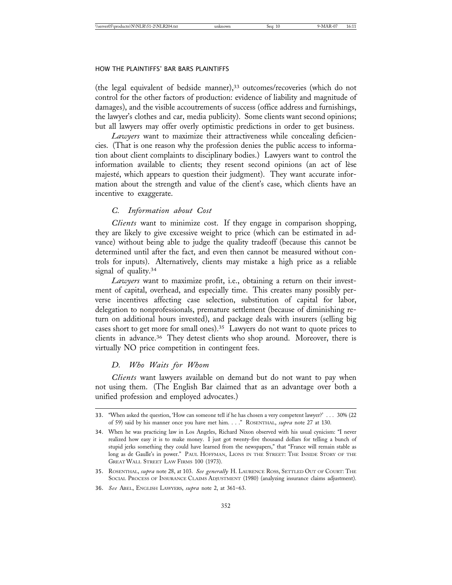(the legal equivalent of bedside manner),<sup>33</sup> outcomes/recoveries (which do not control for the other factors of production: evidence of liability and magnitude of damages), and the visible accoutrements of success (office address and furnishings, the lawyer's clothes and car, media publicity). Some clients want second opinions; but all lawyers may offer overly optimistic predictions in order to get business.

*Lawyers* want to maximize their attractiveness while concealing deficiencies. (That is one reason why the profession denies the public access to information about client complaints to disciplinary bodies.) Lawyers want to control the information available to clients; they resent second opinions (an act of lèse majesté, which appears to question their judgment). They want accurate information about the strength and value of the client's case, which clients have an incentive to exaggerate.

#### *C. Information about Cost*

*Clients* want to minimize cost. If they engage in comparison shopping, they are likely to give excessive weight to price (which can be estimated in advance) without being able to judge the quality tradeoff (because this cannot be determined until after the fact, and even then cannot be measured without controls for inputs). Alternatively, clients may mistake a high price as a reliable signal of quality.<sup>34</sup>

*Lawyers* want to maximize profit, i.e., obtaining a return on their investment of capital, overhead, and especially time. This creates many possibly perverse incentives affecting case selection, substitution of capital for labor, delegation to nonprofessionals, premature settlement (because of diminishing return on additional hours invested), and package deals with insurers (selling big cases short to get more for small ones).35 Lawyers do not want to quote prices to clients in advance.36 They detest clients who shop around. Moreover, there is virtually NO price competition in contingent fees.

## *D. Who Waits for Whom*

*Clients* want lawyers available on demand but do not want to pay when not using them. (The English Bar claimed that as an advantage over both a unified profession and employed advocates.)

<sup>33.</sup> "When asked the question, 'How can someone tell if he has chosen a very competent lawyer?' . . . 30% (22 of 59) said by his manner once you have met him. . . ." ROSENTHAL, *supra* note 27 at 130.

<sup>34.</sup> When he was practicing law in Los Angeles, Richard Nixon observed with his usual cynicism: "I never realized how easy it is to make money. I just got twenty-five thousand dollars for telling a bunch of stupid jerks something they could have learned from the newspapers," that "France will remain stable as long as de Gaulle's in power." PAUL HOFFMAN, LIONS IN THE STREET: THE INSIDE STORY OF THE GREAT WALL STREET LAW FIRMS 100 (1973).

<sup>35.</sup> ROSENTHAL, *supra* note 28, at 103. *See generally* H. LAURENCE ROSS, SETTLED OUT OF COURT: THE SOCIAL PROCESS OF INSURANCE CLAIMS ADJUSTMENT (1980) (analyzing insurance claims adjustment).

<sup>36.</sup> *See* ABEL, ENGLISH LAWYERS, *supra* note 2, at 361–63.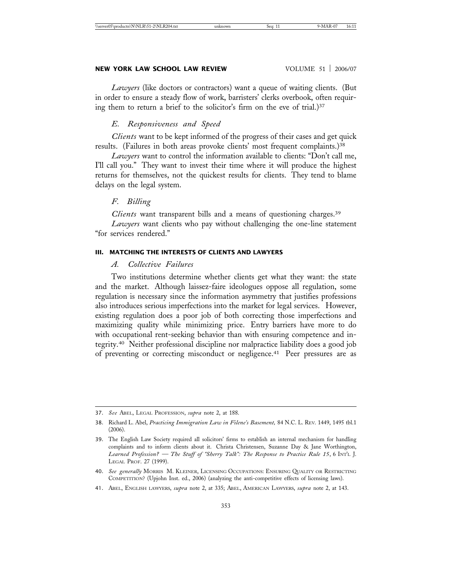#### **NEW YORK LAW SCHOOL LAW REVIEW WE ARE VOLUME 51 | 2006/07**

*Lawyers* (like doctors or contractors) want a queue of waiting clients. (But in order to ensure a steady flow of work, barristers' clerks overbook, often requiring them to return a brief to the solicitor's firm on the eve of trial.)<sup>37</sup>

#### *E. Responsiveness and Speed*

*Clients* want to be kept informed of the progress of their cases and get quick results. (Failures in both areas provoke clients' most frequent complaints.)<sup>38</sup>

*Lawyers* want to control the information available to clients: "Don't call me, I'll call you." They want to invest their time where it will produce the highest returns for themselves, not the quickest results for clients. They tend to blame delays on the legal system.

#### *F. Billing*

*Clients* want transparent bills and a means of questioning charges.39

*Lawyers* want clients who pay without challenging the one-line statement "for services rendered."

# **III. MATCHING THE INTERESTS OF CLIENTS AND LAWYERS**

### *A. Collective Failures*

Two institutions determine whether clients get what they want: the state and the market. Although laissez-faire ideologues oppose all regulation, some regulation is necessary since the information asymmetry that justifies professions also introduces serious imperfections into the market for legal services. However, existing regulation does a poor job of both correcting those imperfections and maximizing quality while minimizing price. Entry barriers have more to do with occupational rent-seeking behavior than with ensuring competence and integrity.40 Neither professional discipline nor malpractice liability does a good job of preventing or correcting misconduct or negligence.41 Peer pressures are as

<sup>37.</sup> *See* ABEL, LEGAL PROFESSION, *supra* note 2, at 188.

<sup>38.</sup> Richard L. Abel, *Practicing Immigration Law in Filene's Basement,* 84 N.C. L. REV. 1449, 1495 tbl.1  $(2006)$ .

<sup>39.</sup> The English Law Society required all solicitors' firms to establish an internal mechanism for handling complaints and to inform clients about it. Christa Christensen, Suzanne Day & Jane Worthington, *Learned Profession? — The Stuff of "Sherry Talk": The Response to Practice Rule 15*, 6 INT'L J. LEGAL PROF. 27 (1999).

<sup>40.</sup> *See generally* MORRIS M. KLEINER, LICENSING OCCUPATIONS: ENSURING QUALITY OR RESTRICTING COMPETITION? (Upjohn Inst. ed., 2006) (analyzing the anti-competitive effects of licensing laws).

<sup>41.</sup> ABEL, ENGLISH LAWYERS, *supra* note 2, at 335; ABEL, AMERICAN LAWYERS, *supra* note 2, at 143.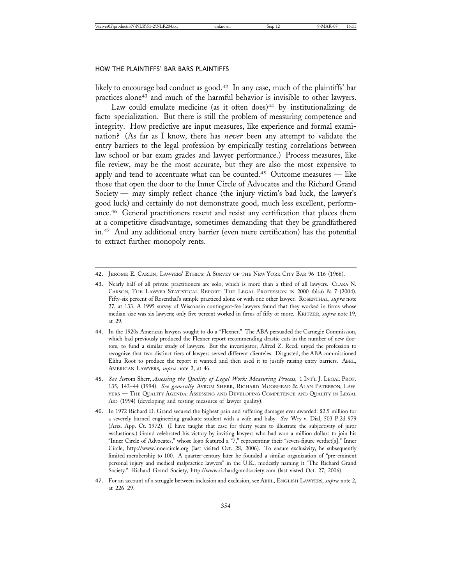likely to encourage bad conduct as good.<sup>42</sup> In any case, much of the plaintiffs' bar practices alone43 and much of the harmful behavior is invisible to other lawyers.

Law could emulate medicine (as it often does)<sup>44</sup> by institutionalizing de facto specialization. But there is still the problem of measuring competence and integrity. How predictive are input measures, like experience and formal examination? (As far as I know, there has *never* been any attempt to validate the entry barriers to the legal profession by empirically testing correlations between law school or bar exam grades and lawyer performance.) Process measures, like file review, may be the most accurate, but they are also the most expensive to apply and tend to accentuate what can be counted.<sup>45</sup> Outcome measures — like those that open the door to the Inner Circle of Advocates and the Richard Grand Society — may simply reflect chance (the injury victim's bad luck, the lawyer's good luck) and certainly do not demonstrate good, much less excellent, performance.46 General practitioners resent and resist any certification that places them at a competitive disadvantage, sometimes demanding that they be grandfathered in.47 And any additional entry barrier (even mere certification) has the potential to extract further monopoly rents.

<sup>42.</sup> JEROME E. CARLIN, LAWYERS' ETHICS: A SURVEY OF THE NEW YORK CITY BAR 96–116 (1966).

<sup>43.</sup> Nearly half of all private practitioners are solo, which is more than a third of all lawyers. CLARA N. CARSON, THE LAWYER STATISTICAL REPORT: THE LEGAL PROFESSION IN 2000 tbls.6 & 7 (2004). Fifty-six percent of Rosenthal's sample practiced alone or with one other lawyer. ROSENTHAL, *supra* note 27, at 133. A 1995 survey of Wisconsin contingent-fee lawyers found that they worked in firms whose median size was six lawyers; only five percent worked in firms of fifty or more. KRITZER, *supra* note 19, at 29.

<sup>44.</sup> In the 1920s American lawyers sought to do a "Flexner." The ABA persuaded the Carnegie Commission, which had previously produced the Flexner report recommending drastic cuts in the number of new doctors, to fund a similar study of lawyers. But the investigator, Alfred Z. Reed, urged the profession to recognize that two distinct tiers of lawyers served different clienteles. Disgusted, the ABA commissioned Elihu Root to produce the report it wanted and then used it to justify raising entry barriers. ABEL, AMERICAN LAWYERS, *supra* note 2, at 46.

<sup>45.</sup> *See* Avrom Sherr, *Assessing the Quality of Legal Work: Measuring Process,* 1 INT'L J. LEGAL PROF. 135, 143–44 (1994). *See generally* AVROM SHERR, RICHARD MOORHEAD & ALAN PATERSON, LAW-YERS — THE QUALITY AGENDA: ASSESSING AND DEVELOPING COMPETENCE AND QUALITY IN LEGAL AID (1994) (developing and testing measures of lawyer quality).

<sup>46.</sup> In 1972 Richard D. Grand secured the highest pain and suffering damages ever awarded: \$2.5 million for a severely burned engineering graduate student with a wife and baby. *See* Wry v. Dial, 503 P.2d 979 (Ariz. App. Ct. 1972). (I have taught that case for thirty years to illustrate the subjectivity of juror evaluations.) Grand celebrated his victory by inviting lawyers who had won a million dollars to join his "Inner Circle of Advocates," whose logo featured a "7," representing their "seven-figure verdict[s]." Inner Circle, http://www.innercircle.org (last visited Oct. 28, 2006). To ensure exclusivity, he subsequently limited membership to 100. A quarter-century later he founded a similar organization of "pre-eminent personal injury and medical malpractice lawyers" in the U.K., modestly naming it "The Richard Grand Society." Richard Grand Society, http://www.richardgrandsociety.com (last visted Oct. 27, 2006).

<sup>47.</sup> For an account of a struggle between inclusion and exclusion, see ABEL, ENGLISH LAWYERS, *supra* note 2, at 226–29.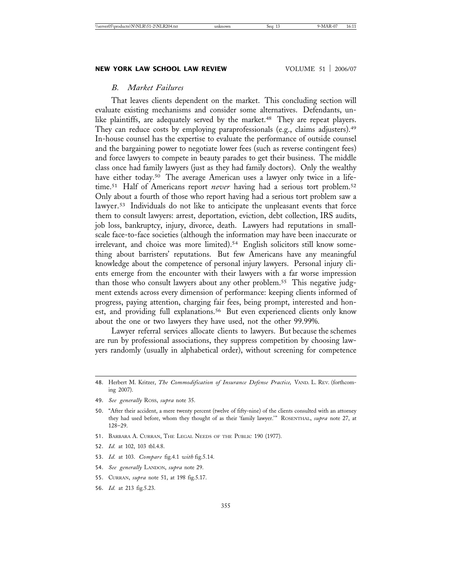# *B. Market Failures*

That leaves clients dependent on the market. This concluding section will evaluate existing mechanisms and consider some alternatives. Defendants, unlike plaintiffs, are adequately served by the market.<sup>48</sup> They are repeat players. They can reduce costs by employing paraprofessionals (e.g., claims adjusters).<sup>49</sup> In-house counsel has the expertise to evaluate the performance of outside counsel and the bargaining power to negotiate lower fees (such as reverse contingent fees) and force lawyers to compete in beauty parades to get their business. The middle class once had family lawyers (just as they had family doctors). Only the wealthy have either today.<sup>50</sup> The average American uses a lawyer only twice in a lifetime.<sup>51</sup> Half of Americans report *never* having had a serious tort problem.<sup>52</sup> Only about a fourth of those who report having had a serious tort problem saw a lawyer.<sup>53</sup> Individuals do not like to anticipate the unpleasant events that force them to consult lawyers: arrest, deportation, eviction, debt collection, IRS audits, job loss, bankruptcy, injury, divorce, death. Lawyers had reputations in smallscale face-to-face societies (although the information may have been inaccurate or irrelevant, and choice was more limited).<sup>54</sup> English solicitors still know something about barristers' reputations. But few Americans have any meaningful knowledge about the competence of personal injury lawyers. Personal injury clients emerge from the encounter with their lawyers with a far worse impression than those who consult lawyers about any other problem.<sup>55</sup> This negative judgment extends across every dimension of performance: keeping clients informed of progress, paying attention, charging fair fees, being prompt, interested and honest, and providing full explanations.<sup>56</sup> But even experienced clients only know about the one or two lawyers they have used, not the other 99.99%.

Lawyer referral services allocate clients to lawyers. But because the schemes are run by professional associations, they suppress competition by choosing lawyers randomly (usually in alphabetical order), without screening for competence

- 51. BARBARA A. CURRAN, THE LEGAL NEEDS OF THE PUBLIC 190 (1977).
- 52. *Id.* at 102, 103 tbl.4.8.
- 53. *Id.* at 103. *Compare* fig.4.1 *with* fig.5.14.
- 54. *See generally* LANDON, *supra* note 29.
- 55. CURRAN, *supra* note 51, at 198 fig.5.17.
- 56. *Id.* at 213 fig.5.23.

<sup>48.</sup> Herbert M. Kritzer, *The Commodification of Insurance Defense Practice,* VAND. L. REV. (forthcoming 2007).

<sup>49.</sup> *See generally* ROSS, *supra* note 35.

<sup>50.</sup> "After their accident, a mere twenty percent (twelve of fifty-nine) of the clients consulted with an attorney they had used before, whom they thought of as their 'family lawyer.'" ROSENTHAL, *supra* note 27, at 128–29.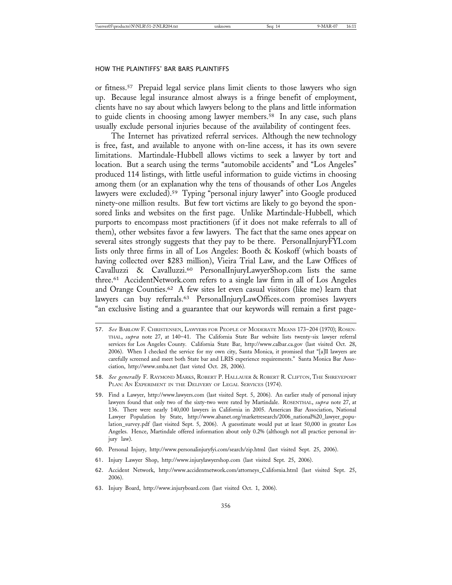or fitness.57 Prepaid legal service plans limit clients to those lawyers who sign up. Because legal insurance almost always is a fringe benefit of employment, clients have no say about which lawyers belong to the plans and little information to guide clients in choosing among lawyer members.58 In any case, such plans usually exclude personal injuries because of the availability of contingent fees.

The Internet has privatized referral services. Although the new technology is free, fast, and available to anyone with on-line access, it has its own severe limitations. Martindale-Hubbell allows victims to seek a lawyer by tort and location. But a search using the terms "automobile accidents" and "Los Angeles" produced 114 listings, with little useful information to guide victims in choosing among them (or an explanation why the tens of thousands of other Los Angeles lawyers were excluded).59 Typing "personal injury lawyer" into Google produced ninety-one million results. But few tort victims are likely to go beyond the sponsored links and websites on the first page. Unlike Martindale-Hubbell, which purports to encompass most practitioners (if it does not make referrals to all of them), other websites favor a few lawyers. The fact that the same ones appear on several sites strongly suggests that they pay to be there. PersonalInjuryFYI.com lists only three firms in all of Los Angeles: Booth & Koskoff (which boasts of having collected over \$283 million), Vieira Trial Law, and the Law Offices of Cavalluzzi & Cavalluzzi.60 PersonalInjuryLawyerShop.com lists the same three.61 AccidentNetwork.com refers to a single law firm in all of Los Angeles and Orange Counties.62 A few sites let even casual visitors (like me) learn that lawyers can buy referrals.63 PersonalInjuryLawOffices.com promises lawyers "an exclusive listing and a guarantee that our keywords will remain a first page-

- 60. Personal Injury, http://www.personalinjuryfyi.com/search/zip.html (last visited Sept. 25, 2006).
- 61. Injury Lawyer Shop, http://www.injurylawyershop.com (last visited Sept. 25, 2006).
- 62. Accident Network, http://www.accidentnetwork.com/attorneys\_California.html (last visited Sept. 25, 2006).
- 63. Injury Board, http://www.injuryboard.com (last visited Oct. 1, 2006).

<sup>57.</sup> *See* BARLOW F. CHRISTENSEN, LAWYERS FOR PEOPLE OF MODERATE MEANS 173–204 (1970); ROSEN-THAL, *supra* note 27, at 140–41. The California State Bar website lists twenty-six lawyer referral services for Los Angeles County. California State Bar, http://www.calbar.ca.gov (last visited Oct. 28, 2006). When I checked the service for my own city, Santa Monica, it promised that "[a]ll lawyers are carefully screened and meet both State bar and LRIS experience requirements." Santa Monica Bar Association, http://www.smba.net (last visted Oct. 28, 2006).

<sup>58.</sup> *See generally* F. RAYMOND MARKS, ROBERT P. HALLAUER & ROBERT R. CLIFTON, THE SHREVEPORT PLAN: AN EXPERIMENT IN THE DELIVERY OF LEGAL SERVICES (1974).

<sup>59.</sup> Find a Lawyer, http://www.lawyers.com (last visited Sept. 5, 2006). An earlier study of personal injury lawyers found that only two of the sixty-two were rated by Martindale. ROSENTHAL, *supra* note 27, at 136. There were nearly 140,000 lawyers in California in 2005. American Bar Association, National Lawyer Population by State, http://www.abanet.org/marketresearch/2006\_national%20\_lawyer\_population\_survey.pdf (last visited Sept. 5, 2006). A guesstimate would put at least 50,000 in greater Los Angeles. Hence, Martindale offered information about only 0.2% (although not all practice personal injury law).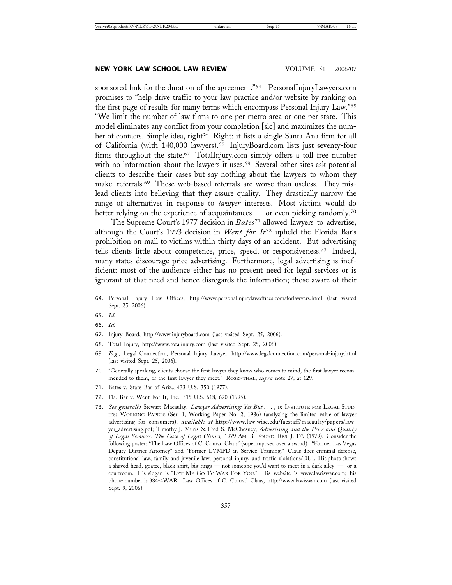#### **NEW YORK LAW SCHOOL LAW REVIEW VOLUME 51 | 2006/07**

sponsored link for the duration of the agreement."<sup>64</sup> PersonalInjuryLawyers.com promises to "help drive traffic to your law practice and/or website by ranking on the first page of results for many terms which encompass Personal Injury Law."65 "We limit the number of law firms to one per metro area or one per state. This model eliminates any conflict from your completion [sic] and maximizes the number of contacts. Simple idea, right?" Right: it lists a single Santa Ana firm for all of California (with 140,000 lawyers).66 InjuryBoard.com lists just seventy-four firms throughout the state.<sup>67</sup> TotalInjury.com simply offers a toll free number with no information about the lawyers it uses.<sup>68</sup> Several other sites ask potential clients to describe their cases but say nothing about the lawyers to whom they make referrals.69 These web-based referrals are worse than useless. They mislead clients into believing that they assure quality. They drastically narrow the range of alternatives in response to *lawyer* interests. Most victims would do better relying on the experience of acquaintances — or even picking randomly.70

The Supreme Court's 1977 decision in *Bates*<sup>71</sup> allowed lawyers to advertise, although the Court's 1993 decision in *Went for It*72 upheld the Florida Bar's prohibition on mail to victims within thirty days of an accident. But advertising tells clients little about competence, price, speed, or responsiveness.73 Indeed, many states discourage price advertising. Furthermore, legal advertising is inefficient: most of the audience either has no present need for legal services or is ignorant of that need and hence disregards the information; those aware of their

66. *Id.*

- 67. Injury Board, http://www.injuryboard.com (last visited Sept. 25, 2006).
- 68. Total Injury, http://www.totalinjury.com (last visited Sept. 25, 2006).
- 69. *E.g.,* Legal Connection, Personal Injury Lawyer, http://www.legalconnection.com/personal-injury.html (last visited Sept. 25, 2006).
- 70. "Generally speaking, clients choose the first lawyer they know who comes to mind, the first lawyer recommended to them, or the first lawyer they meet." ROSENTHAL, *supra* note 27, at 129.
- 71. Bates v. State Bar of Ariz., 433 U.S. 350 (1977).
- 72. Fla. Bar v. Went For It, Inc., 515 U.S. 618, 620 (1995).
- 73. See generally Stewart Macaulay, Lawyer Advertising: Yes But . . . , in INSTITUTE FOR LEGAL STUD-IES: WORKING PAPERS (Ser. 1, Working Paper No. 2, 1986) (analyzing the limited value of lawyer advertising for consumers), *available at* http://www.law.wisc.edu/facstaff/macaulay/papers/lawyer\_advertising.pdf; Timothy J. Muris & Fred S. McChesney, *Advertising and the Price and Quality of Legal Services: The Case of Legal Clinics,* 1979 AM. B. FOUND. RES. J. 179 (1979). Consider the following poster: "The Law Offices of C. Conrad Claus" (superimposed over a sword). "Former Las Vegas Deputy District Attorney" and "Former LVMPD in Service Training." Claus does criminal defense, constitutional law, family and juvenile law, personal injury, and traffic violations/DUI. His photo shows a shaved head, goatee, black shirt, big rings — not someone you'd want to meet in a dark alley — or a courtroom. His slogan is "LET ME GO TO WAR FOR YOU." His website is www.lawiswar.com; his phone number is 384-4WAR. Law Offices of C. Conrad Claus, http://www.lawiswar.com (last visited Sept. 9, 2006).

<sup>64.</sup> Personal Injury Law Offices, http://www.personalinjurylawoffices.com/forlawyers.html (last visited Sept. 25, 2006).

<sup>65.</sup> *Id.*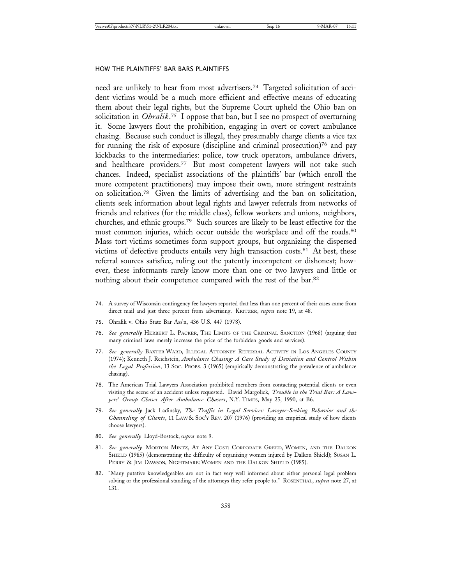need are unlikely to hear from most advertisers.74 Targeted solicitation of accident victims would be a much more efficient and effective means of educating them about their legal rights, but the Supreme Court upheld the Ohio ban on solicitation in *Ohralik*. 75 I oppose that ban, but I see no prospect of overturning it. Some lawyers flout the prohibition, engaging in overt or covert ambulance chasing. Because such conduct is illegal, they presumably charge clients a vice tax for running the risk of exposure (discipline and criminal prosecution)76 and pay kickbacks to the intermediaries: police, tow truck operators, ambulance drivers, and healthcare providers.77 But most competent lawyers will not take such chances. Indeed, specialist associations of the plaintiffs' bar (which enroll the more competent practitioners) may impose their own, more stringent restraints on solicitation.78 Given the limits of advertising and the ban on solicitation, clients seek information about legal rights and lawyer referrals from networks of friends and relatives (for the middle class), fellow workers and unions, neighbors, churches, and ethnic groups.79 Such sources are likely to be least effective for the most common injuries, which occur outside the workplace and off the roads.<sup>80</sup> Mass tort victims sometimes form support groups, but organizing the dispersed victims of defective products entails very high transaction costs.<sup>81</sup> At best, these referral sources satisfice, ruling out the patently incompetent or dishonest; however, these informants rarely know more than one or two lawyers and little or nothing about their competence compared with the rest of the bar.82

- 75. Ohralik v. Ohio State Bar Ass'n, 436 U.S. 447 (1978).
- 76. *See generally* HERBERT L. PACKER, THE LIMITS OF THE CRIMINAL SANCTION (1968) (arguing that many criminal laws merely increase the price of the forbidden goods and services).
- 77. *See generally* BAXTER WARD, ILLEGAL ATTORNEY REFERRAL ACTIVITY IN LOS ANGELES COUNTY (1974); Kenneth J. Reichstein, *Ambulance Chasing: A Case Study of Deviation and Control Within the Legal Profession*, 13 SOC. PROBS. 3 (1965) (empirically demonstrating the prevalence of ambulance chasing).
- 78. The American Trial Lawyers Association prohibited members from contacting potential clients or even visiting the scene of an accident unless requested. David Margolick, *Trouble in the Trial Bar: A Lawyers' Group Chases After Ambulance Chasers*, N.Y. TIMES, May 25, 1990, at B6.
- 79. *See generally* Jack Ladinsky, *The Traffic in Legal Services: Lawyer-Seeking Behavior and the Channeling of Clients*, 11 LAW & SOC'Y REV. 207 (1976) (providing an empirical study of how clients choose lawyers).
- 80. *See generally* Lloyd-Bostock, *supra* note 9.
- 81. *See generally* MORTON MINTZ, AT ANY COST: CORPORATE GREED, WOMEN, AND THE DALKON SHIELD (1985) (demonstrating the difficulty of organizing women injured by Dalkon Shield); SUSAN L. PERRY & JIM DAWSON, NIGHTMARE: WOMEN AND THE DALKON SHIELD (1985).
- 82. "Many putative knowledgeables are not in fact very well informed about either personal legal problem solving or the professional standing of the attorneys they refer people to." ROSENTHAL, *supra* note 27, at 131.

<sup>74.</sup> A survey of Wisconsin contingency fee lawyers reported that less than one percent of their cases came from direct mail and just three percent from advertising. KRITZER, *supra* note 19, at 48.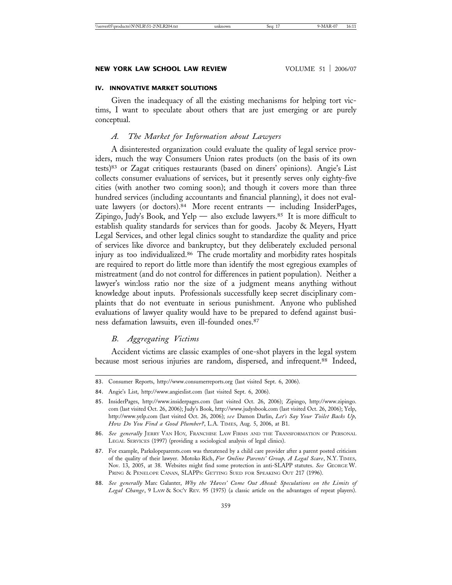#### **NEW YORK LAW SCHOOL LAW REVIEW WOLUME 51 | 2006/07**

#### **IV. INNOVATIVE MARKET SOLUTIONS**

Given the inadequacy of all the existing mechanisms for helping tort victims, I want to speculate about others that are just emerging or are purely conceptual.

# *A. The Market for Information about Lawyers*

A disinterested organization could evaluate the quality of legal service providers, much the way Consumers Union rates products (on the basis of its own tests)83 or Zagat critiques restaurants (based on diners' opinions). Angie's List collects consumer evaluations of services, but it presently serves only eighty-five cities (with another two coming soon); and though it covers more than three hundred services (including accountants and financial planning), it does not evaluate lawyers (or doctors).<sup>84</sup> More recent entrants — including InsiderPages, Zipingo, Judy's Book, and Yelp — also exclude lawyers.<sup>85</sup> It is more difficult to establish quality standards for services than for goods. Jacoby & Meyers, Hyatt Legal Services, and other legal clinics sought to standardize the quality and price of services like divorce and bankruptcy, but they deliberately excluded personal injury as too individualized.86 The crude mortality and morbidity rates hospitals are required to report do little more than identify the most egregious examples of mistreatment (and do not control for differences in patient population). Neither a lawyer's win:loss ratio nor the size of a judgment means anything without knowledge about inputs. Professionals successfully keep secret disciplinary complaints that do not eventuate in serious punishment. Anyone who published evaluations of lawyer quality would have to be prepared to defend against business defamation lawsuits, even ill-founded ones.87

# *B. Aggregating Victims*

Accident victims are classic examples of one-shot players in the legal system because most serious injuries are random, dispersed, and infrequent.<sup>88</sup> Indeed,

<sup>83.</sup> Consumer Reports, http://www.consumerreports.org (last visited Sept. 6, 2006).

<sup>84.</sup> Angie's List, http://www.angieslist.com (last visited Sept. 6, 2006).

<sup>85.</sup> InsiderPages, http://www.insiderpages.com (last visited Oct. 26, 2006); Zipingo, http://www.zipingo. com (last visited Oct. 26, 2006); Judy's Book, http://www.judysbook.com (last visited Oct. 26, 2006); Yelp, http://www.yelp.com (last visited Oct. 26, 2006); *see* Damon Darlin, *Let's Say Your Toilet Backs Up, How Do You Find a Good Plumber?*, L.A. TIMES, Aug. 5, 2006, at B1.

<sup>86.</sup> *See generally* JERRY VAN HOY, FRANCHISE LAW FIRMS AND THE TRANSFORMATION OF PERSONAL LEGAL SERVICES (1997) (providing a sociological analysis of legal clinics).

<sup>87.</sup> For example, Parkslopeparents.com was threatened by a child care provider after a parent posted criticism of the quality of their lawyer. Motoko Rich, *For Online Parents' Group, A Legal Scare*, N.Y. TIMES, Nov. 13, 2005, at 38. Websites might find some protection in anti-SLAPP statutes. *See* GEORGE W. PRING & PENELOPE CANAN, SLAPPS: GETTING SUED FOR SPEAKING OUT 217 (1996).

<sup>88.</sup> *See generally* Marc Galanter, *Why the 'Haves' Come Out Ahead: Speculations on the Limits of* Legal Change, 9 LAW & Soc'y REV. 95 (1975) (a classic article on the advantages of repeat players).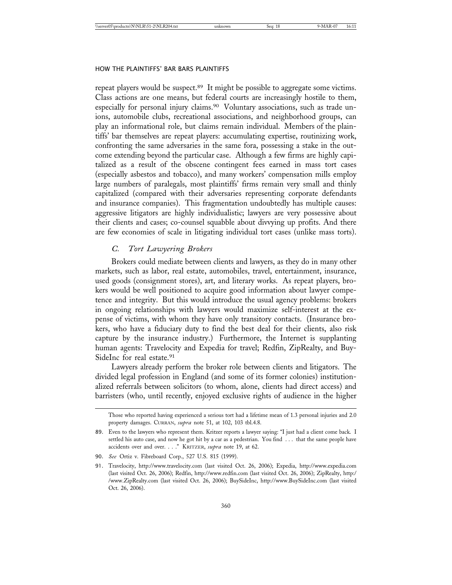repeat players would be suspect.89 It might be possible to aggregate some victims. Class actions are one means, but federal courts are increasingly hostile to them, especially for personal injury claims.90 Voluntary associations, such as trade unions, automobile clubs, recreational associations, and neighborhood groups, can play an informational role, but claims remain individual. Members of the plaintiffs' bar themselves are repeat players: accumulating expertise, routinizing work, confronting the same adversaries in the same fora, possessing a stake in the outcome extending beyond the particular case. Although a few firms are highly capitalized as a result of the obscene contingent fees earned in mass tort cases (especially asbestos and tobacco), and many workers' compensation mills employ large numbers of paralegals, most plaintiffs' firms remain very small and thinly capitalized (compared with their adversaries representing corporate defendants and insurance companies). This fragmentation undoubtedly has multiple causes: aggressive litigators are highly individualistic; lawyers are very possessive about their clients and cases; co-counsel squabble about divvying up profits. And there are few economies of scale in litigating individual tort cases (unlike mass torts).

# *C. Tort Lawyering Brokers*

Brokers could mediate between clients and lawyers, as they do in many other markets, such as labor, real estate, automobiles, travel, entertainment, insurance, used goods (consignment stores), art, and literary works. As repeat players, brokers would be well positioned to acquire good information about lawyer competence and integrity. But this would introduce the usual agency problems: brokers in ongoing relationships with lawyers would maximize self-interest at the expense of victims, with whom they have only transitory contacts. (Insurance brokers, who have a fiduciary duty to find the best deal for their clients, also risk capture by the insurance industry.) Furthermore, the Internet is supplanting human agents: Travelocity and Expedia for travel; Redfin, ZipRealty, and Buy-SideInc for real estate.<sup>91</sup>

Lawyers already perform the broker role between clients and litigators. The divided legal profession in England (and some of its former colonies) institutionalized referrals between solicitors (to whom, alone, clients had direct access) and barristers (who, until recently, enjoyed exclusive rights of audience in the higher

Those who reported having experienced a serious tort had a lifetime mean of 1.3 personal injuries and 2.0 property damages. CURRAN, *supra* note 51, at 102, 103 tbl.4.8.

<sup>89.</sup> Even to the lawyers who represent them. Kritzer reports a lawyer saying: "I just had a client come back. I settled his auto case, and now he got hit by a car as a pedestrian. You find ... that the same people have accidents over and over. . . ." KRITZER, *supra* note 19, at 62.

<sup>90.</sup> *See* Ortiz v. Fibreboard Corp., 527 U.S. 815 (1999).

<sup>91.</sup> Travelocity, http://www.travelocity.com (last visited Oct. 26, 2006); Expedia, http://www.expedia.com (last visited Oct. 26, 2006); Redfin, http://www.redfin.com (last visited Oct. 26, 2006); ZipRealty, http:/ /www.ZipRealty.com (last visited Oct. 26, 2006); BuySideInc, http://www.BuySideInc.com (last visited Oct. 26, 2006).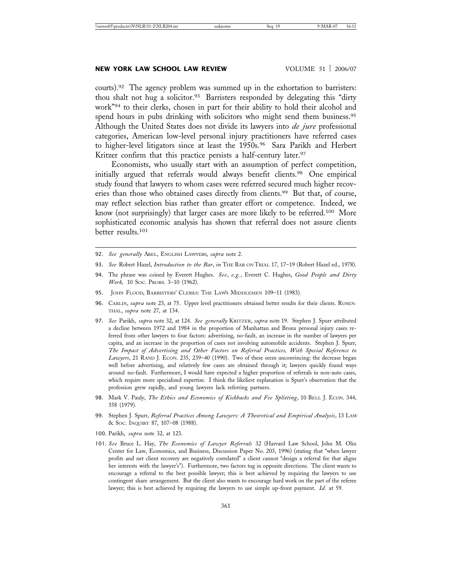#### **NEW YORK LAW SCHOOL LAW REVIEW VOLUME 51 | 2006/07**

courts).92 The agency problem was summed up in the exhortation to barristers: thou shalt not hug a solicitor.<sup>93</sup> Barristers responded by delegating this "dirty work"94 to their clerks, chosen in part for their ability to hold their alcohol and spend hours in pubs drinking with solicitors who might send them business.<sup>95</sup> Although the United States does not divide its lawyers into *de jure* professional categories, American low-level personal injury practitioners have referred cases to higher-level litigators since at least the 1950s.<sup>96</sup> Sara Parikh and Herbert Kritzer confirm that this practice persists a half-century later.<sup>97</sup>

Economists, who usually start with an assumption of perfect competition, initially argued that referrals would always benefit clients.<sup>98</sup> One empirical study found that lawyers to whom cases were referred secured much higher recoveries than those who obtained cases directly from clients.<sup>99</sup> But that, of course, may reflect selection bias rather than greater effort or competence. Indeed, we know (not surprisingly) that larger cases are more likely to be referred.100 More sophisticated economic analysis has shown that referral does not assure clients better results.101

- 92. *See generally* ABEL, ENGLISH LAWYERS, *supra* note 2.
- 93. *See* Robert Hazel, *Introduction to the Bar*, *in* THE BAR ON TRIAL 17, 17–19 (Robert Hazel ed., 1978).
- 94. The phrase was coined by Everett Hughes. *See*, *e.g.*, Everett C. Hughes, *Good People and Dirty Work,* 10 SOC. PROBS. 3–10 (1962).
- 95. JOHN FLOOD, BARRISTERS' CLERKS: THE LAW'S MIDDLEMEN 109-11 (1983).
- 96. CARLIN, *supra* note 23, at 75. Upper level practitioners obtained better results for their clients. ROSEN-THAL, *supra* note 27, at 134.
- 97. *See* Parikh, *supra* note 32, at 124. *See generally* KRITZER, *supra* note 19. Stephen J. Spurr attributed a decline between 1972 and 1984 in the proportion of Manhattan and Bronx personal injury cases referred from other lawyers to four factors: advertising, no-fault, an increase in the number of lawyers per capita, and an increase in the proportion of cases not involving automobile accidents. Stephen J. Spurr, *The Impact of Advertising and Other Factors on Referral Practices, With Special Reference to Lawyers*, 21 RAND J. ECON. 235, 239–40 (1990). Two of these seem unconvincing: the decrease began well before advertising, and relatively few cases are obtained through it; lawyers quickly found ways around no-fault. Furthermore, I would have expected a higher proportion of referrals in non-auto cases, which require more specialized expertise. I think the likeliest explanation is Spurr's observation that the profession grew rapidly, and young lawyers lack referring partners.
- 98. Mark V. Pauly, *The Ethics and Economics of Kickbacks and Fee Splitting*, 10 BELL J. ECON. 344, 358 (1979).
- 99. Stephen J. Spurr, *Referral Practices Among Lawyers: A Theoretical and Empirical Analysis*, 13 LAW & SOC. INQUIRY 87, 107–08 (1988).
- 100. Parikh, *supra* note 32, at 123.
- 101. *See* Bruce L. Hay, *The Economics of Lawyer Referrals* 32 (Harvard Law School, John M. Olin Center for Law, Economics, and Business, Discussion Paper No. 203, 1996) (stating that "when lawyer profits and net client recovery are negatively correlated" a client cannot "design a referral fee that aligns her interests with the lawyer's"). Furthermore, two factors tug in opposite directions. The client wants to encourage a referral to the best possible lawyer; this is best achieved by requiring the lawyers to use contingent share arrangement. But the client also wants to encourage hard work on the part of the referee lawyer; this is best achieved by requiring the lawyers to use simple up-front payment. *Id.* at 59.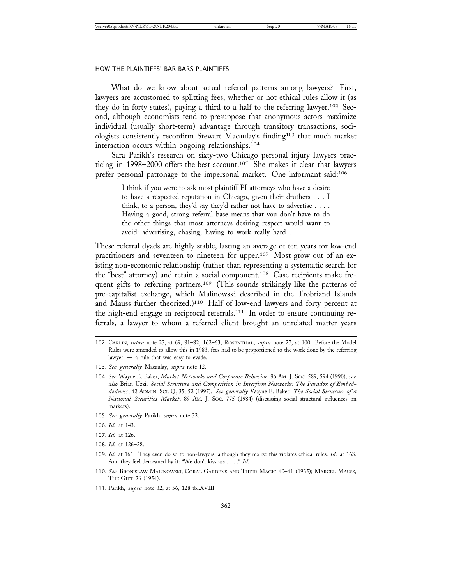What do we know about actual referral patterns among lawyers? First, lawyers are accustomed to splitting fees, whether or not ethical rules allow it (as they do in forty states), paying a third to a half to the referring lawyer.102 Second, although economists tend to presuppose that anonymous actors maximize individual (usually short-term) advantage through transitory transactions, sociologists consistently reconfirm Stewart Macaulay's finding103 that much market interaction occurs within ongoing relationships.104

Sara Parikh's research on sixty-two Chicago personal injury lawyers practicing in 1998–2000 offers the best account.<sup>105</sup> She makes it clear that lawyers prefer personal patronage to the impersonal market. One informant said:106

> I think if you were to ask most plaintiff PI attorneys who have a desire to have a respected reputation in Chicago, given their druthers . . . I think, to a person, they'd say they'd rather not have to advertise . . . . Having a good, strong referral base means that you don't have to do the other things that most attorneys desiring respect would want to avoid: advertising, chasing, having to work really hard . . . .

These referral dyads are highly stable, lasting an average of ten years for low-end practitioners and seventeen to nineteen for upper.107 Most grow out of an existing non-economic relationship (rather than representing a systematic search for the "best" attorney) and retain a social component.108 Case recipients make frequent gifts to referring partners.<sup>109</sup> (This sounds strikingly like the patterns of pre-capitalist exchange, which Malinowski described in the Trobriand Islands and Mauss further theorized.)110 Half of low-end lawyers and forty percent at the high-end engage in reciprocal referrals.111 In order to ensure continuing referrals, a lawyer to whom a referred client brought an unrelated matter years

- 102. CARLIN, *supra* note 23, at 69, 81–82, 162–63; ROSENTHAL, *supra* note 27, at 100. Before the Model Rules were amended to allow this in 1983, fees had to be proportioned to the work done by the referring lawyer — a rule that was easy to evade.
- 103. *See generally* Macaulay, *supra* note 12.
- 104. S*ee* Wayne E. Baker, *Market Networks and Corporate Behavior*, 96 AM. J. SOC. 589, 594 (1990); *see also* Brian Uzzi, *Social Structure and Competition in Interfirm Networks: The Paradox of Embeddedness*, 42 ADMIN. SCI. Q. 35, 52 (1997). *See generally* Wayne E. Baker*, The Social Structure of a National Securities Market*, 89 AM. J. SOC. 775 (1984) (discussing social structural influences on markets).
- 105. *See generally* Parikh, *supra* note 32.
- 106. *Id.* at 143.
- 107. *Id.* at 126.
- 108. *Id.* at 126–28.
- 109. *Id.* at 161. They even do so to non-lawyers, although they realize this violates ethical rules. *Id.* at 163. And they feel demeaned by it: "We don't kiss ass . . . ." *Id.*
- 110. *See* BRONISLAW MALINOWSKI, CORAL GARDENS AND THEIR MAGIC 40–41 (1935); MARCEL MAUSS, THE GIFT 26 (1954).
- 111. Parikh, *supra* note 32, at 56, 128 tbl.XVIII.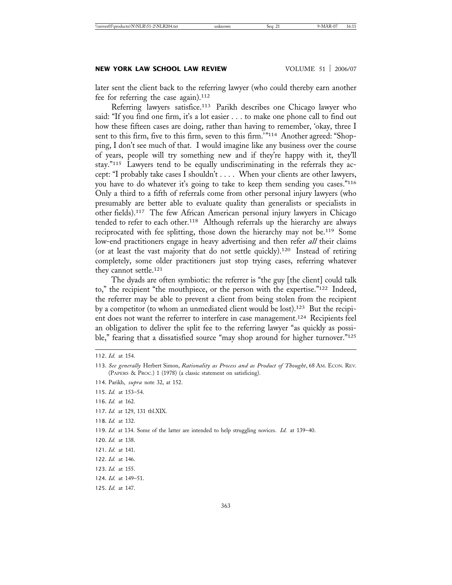later sent the client back to the referring lawyer (who could thereby earn another fee for referring the case again).<sup>112</sup>

Referring lawyers satisfice.113 Parikh describes one Chicago lawyer who said: "If you find one firm, it's a lot easier . . . to make one phone call to find out how these fifteen cases are doing, rather than having to remember, 'okay, three I sent to this firm, five to this firm, seven to this firm.'"114 Another agreed: "Shopping, I don't see much of that. I would imagine like any business over the course of years, people will try something new and if they're happy with it, they'll stay."115 Lawyers tend to be equally undiscriminating in the referrals they accept: "I probably take cases I shouldn't . . . . When your clients are other lawyers, you have to do whatever it's going to take to keep them sending you cases."116 Only a third to a fifth of referrals come from other personal injury lawyers (who presumably are better able to evaluate quality than generalists or specialists in other fields).117 The few African American personal injury lawyers in Chicago tended to refer to each other.<sup>118</sup> Although referrals up the hierarchy are always reciprocated with fee splitting, those down the hierarchy may not be.<sup>119</sup> Some low-end practitioners engage in heavy advertising and then refer *all* their claims (or at least the vast majority that do not settle quickly).120 Instead of retiring completely, some older practitioners just stop trying cases, referring whatever they cannot settle.121

The dyads are often symbiotic: the referrer is "the guy [the client] could talk to," the recipient "the mouthpiece, or the person with the expertise."122 Indeed, the referrer may be able to prevent a client from being stolen from the recipient by a competitor (to whom an unmediated client would be lost).123 But the recipient does not want the referrer to interfere in case management.124 Recipients feel an obligation to deliver the split fee to the referring lawyer "as quickly as possible," fearing that a dissatisfied source "may shop around for higher turnover."<sup>125</sup>

116. *Id.* at 162.

- 120. *Id.* at 138.
- 121. *Id.* at 141.
- 122. *Id.* at 146.

<sup>112.</sup> *Id.* at 154.

<sup>113.</sup> *See generally* Herbert Simon, *Rationality as Process and as Product of Thought*, 68 AM. ECON. REV. (PAPERS & PROC.) 1 (1978) (a classic statement on satisficing).

<sup>114.</sup> Parikh, *supra* note 32, at 152.

<sup>115.</sup> *Id.* at 153–54.

<sup>117.</sup> *Id.* at 129, 131 tbl.XIX.

<sup>118.</sup> *Id.* at 132.

<sup>119.</sup> *Id.* at 134. Some of the latter are intended to help struggling novices. *Id.* at 139–40.

<sup>123.</sup> *Id.* at 155.

<sup>124.</sup> *Id.* at 149–51.

<sup>125.</sup> *Id.* at 147.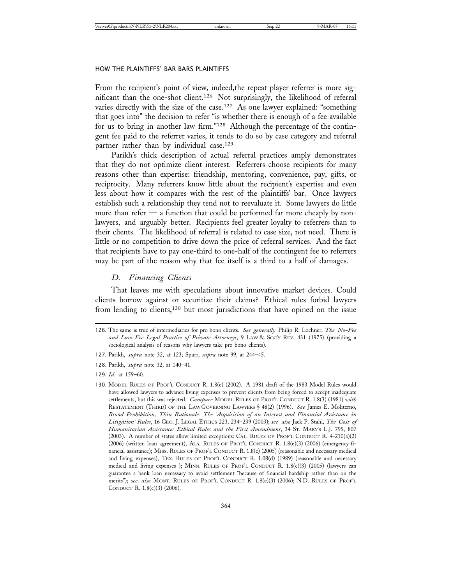From the recipient's point of view, indeed,the repeat player referrer is more significant than the one-shot client.126 Not surprisingly, the likelihood of referral varies directly with the size of the case.<sup>127</sup> As one lawyer explained: "something that goes into" the decision to refer "is whether there is enough of a fee available for us to bring in another law firm."128 Although the percentage of the contingent fee paid to the referrer varies, it tends to do so by case category and referral partner rather than by individual case.<sup>129</sup>

Parikh's thick description of actual referral practices amply demonstrates that they do not optimize client interest. Referrers choose recipients for many reasons other than expertise: friendship, mentoring, convenience, pay, gifts, or reciprocity. Many referrers know little about the recipient's expertise and even less about how it compares with the rest of the plaintiffs' bar. Once lawyers establish such a relationship they tend not to reevaluate it. Some lawyers do little more than refer  $-$  a function that could be performed far more cheaply by nonlawyers, and arguably better. Recipients feel greater loyalty to referrers than to their clients. The likelihood of referral is related to case size, not need. There is little or no competition to drive down the price of referral services. And the fact that recipients have to pay one-third to one-half of the contingent fee to referrers may be part of the reason why that fee itself is a third to a half of damages.

#### *D. Financing Clients*

That leaves me with speculations about innovative market devices. Could clients borrow against or securitize their claims? Ethical rules forbid lawyers from lending to clients,<sup>130</sup> but most jurisdictions that have opined on the issue

<sup>126.</sup> The same is true of intermediaries for pro bono clients. *See generally* Philip R. Lochner, *The No-Fee and Low-Fee Legal Practice of Private Attorneys*, 9 LAW & SOC'Y REV. 431 (1975) (providing a sociological analysis of reasons why lawyers take pro bono clients).

<sup>127.</sup> Parikh, *supra* note 32, at 123; Spurr, *supra* note 99, at 244–45.

<sup>128.</sup> Parikh, *supra* note 32, at 140–41.

<sup>129.</sup> *Id.* at 159–60.

<sup>130.</sup> MODEL RULES OF PROF'L CONDUCT R. 1.8(e) (2002). A 1981 draft of the 1983 Model Rules would have allowed lawyers to advance living expenses to prevent clients from being forced to accept inadequate settlements, but this was rejected. *Compare* MODEL RULES OF PROF'L CONDUCT R. 1.8(3) (1981) *with* RESTATEMENT (THIRD) OF THE LAW GOVERNING LAWYERS § 48(2) (1996). *See* James E. Moliterno, *Broad Prohibition, Thin Rationale: The 'Acquisition of an Interest and Financial Assistance in Litigation' Rules*, 16 GEO. J. LEGAL ETHICS 223, 234–239 (2003); *see also* Jack P. Stahl, *The Cost of Humanitarian Assistance: Ethical Rules and the First Amendment*, 34 ST. MARY'S L.J. 795, 807 (2003). A number of states allow limited exceptions: CAL. RULES OF PROF'L CONDUCT R. 4-210(a)(2) (2006) (written loan agreement); ALA. RULES OF PROF'L CONDUCT R. 1.8(e)(3) (2006) (emergency financial assistance); MISS. RULES OF PROF'L CONDUCT R. 1.8(e) (2005) (reasonable and necessary medical and living expenses); TEX. RULES OF PROF'L CONDUCT R. 1.08(d) (1989) (reasonable and necessary medical and living expenses ); MINN. RULES OF PROF'L CONDUCT R. 1.8(e)(3) (2005) (lawyers can guarantee a bank loan necessary to avoid settlement "because of financial hardship rather than on the merits"); s*ee also* MONT. RULES OF PROF'L CONDUCT R. 1.8(e)(3) (2006); N.D. RULES OF PROF'L CONDUCT R. 1.8(e)(3) (2006).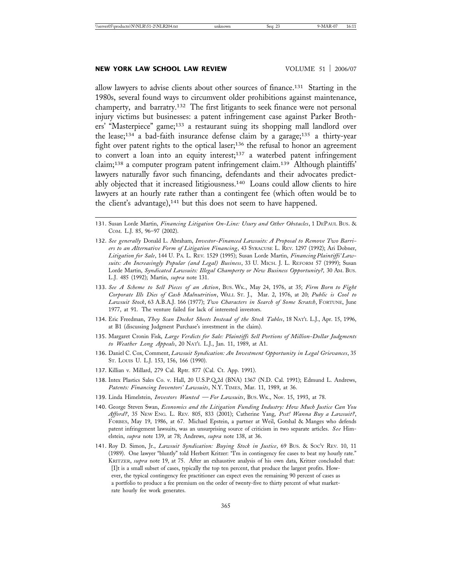#### **NEW YORK LAW SCHOOL LAW REVIEW VOLUME 51 | 2006/07**

allow lawyers to advise clients about other sources of finance.131 Starting in the 1980s, several found ways to circumvent older prohibitions against maintenance, champerty, and barratry.132 The first litigants to seek finance were not personal injury victims but businesses: a patent infringement case against Parker Brothers' "Masterpiece" game;133 a restaurant suing its shopping mall landlord over the lease;134 a bad-faith insurance defense claim by a garage;135 a thirty-year fight over patent rights to the optical laser;136 the refusal to honor an agreement to convert a loan into an equity interest;137 a waterbed patent infringement claim;138 a computer program patent infringement claim.139 Although plaintiffs' lawyers naturally favor such financing, defendants and their advocates predictably objected that it increased litigiousness.<sup>140</sup> Loans could allow clients to hire lawyers at an hourly rate rather than a contingent fee (which often would be to the client's advantage),<sup>141</sup> but this does not seem to have happened.

- 132. *See generally* Donald L. Abraham, *Investor-Financed Lawsuits: A Proposal to Remove Two Barriers to an Alternative Form of Litigation Financing*, 43 SYRACUSE L. REV. 1297 (1992); Ari Dobner, *Litigation for Sale*, 144 U. PA. L. REV. 1529 (1995); Susan Lorde Martin, *Financing Plaintiffs' Lawsuits: An Increasingly Popular (and Legal) Business*, 33 U. MICH. J. L. REFORM 57 (1999); Susan Lorde Martin, *Syndicated Lawsuits: Illegal Champerty or New Business Opportunity?,* 30 AM. BUS. L.J. 485 (1992); Martin, *supra* note 131.
- 133. *See A Scheme to Sell Pieces of an Action*, BUS. WK., May 24, 1976, at 35; *Firm Born to Fight Corporate Ills Dies of Cash Malnutrition*, WALL ST. J., Mar. 2, 1976, at 20; *Public is Cool to Lawsuit Stock*, 63 A.B.A.J. 166 (1977); *Two Characters in Search of Some Scratch*, FORTUNE, June 1977, at 91. The venture failed for lack of interested investors.
- 134. Eric Freedman, *They Scan Docket Sheets Instead of the Stock Tables*, 18 NAT'L L.J., Apr. 15, 1996, at B1 (discussing Judgment Purchase's investment in the claim).
- 135. Margaret Cronin Fisk, *Large Verdicts for Sale: Plaintiffs Sell Portions of Million-Dollar Judgments to Weather Long Appeals*, 20 NAT'L L.J., Jan. 11, 1989, at A1.
- 136. Daniel C. Cox, Comment, *Lawsuit Syndication: An Investment Opportunity in Legal Grievances*, 35 ST. LOUIS U. L.J. 153, 156, 166 (1990).
- 137. Killian v. Millard, 279 Cal. Rptr. 877 (Cal. Ct. App. 1991).
- 138. Intex Plastics Sales Co. v. Hall, 20 U.S.P.Q.2d (BNA) 1367 (N.D. Cal. 1991); Edmund L. Andrews, *Patents: Financing Inventors' Lawsuits*, N.Y. TIMES, Mar. 11, 1989, at 36.
- 139. Linda Himelstein, *Investors Wanted For Lawsuits*, BUS. WK., Nov. 15, 1993, at 78.
- 140. George Steven Swan, *Economics and the Litigation Funding Industry: How Much Justice Can You Afford?*, 35 NEW ENG. L. REV. 805, 833 (2001); Catherine Yang, *Psst! Wanna Buy a Lawsuit?*, FORBES, May 19, 1986, at 67. Michael Epstein, a partner at Weil, Gotshal & Manges who defends patent infringement lawsuits, was an unsurprising source of criticism in two separate articles. *See* Himelstein, *supra* note 139, at 78; Andrews, *supra* note 138, at 36.
- 141. Roy D. Simon, Jr., *Lawsuit Syndication: Buying Stock in Justice*, 69 BUS. & SOC'Y REV. 10, 11 (1989). One lawyer "bluntly" told Herbert Kritzer: "I'm in contingency fee cases to beat my hourly rate." KRITZER, *supra* note 19, at 75. After an exhaustive analysis of his own data, Kritzer concluded that: [I]t is a small subset of cases, typically the top ten percent, that produce the largest profits. However, the typical contingency fee practitioner can expect even the remaining 90 percent of cases as a portfolio to produce a fee premium on the order of twenty-five to thirty percent of what marketrate hourly fee work generates.

<sup>131.</sup> Susan Lorde Martin, *Financing Litigation On-Line: Usury and Other Obstacles*, 1 DEPAUL BUS. & COM. L.J. 85, 96–97 (2002).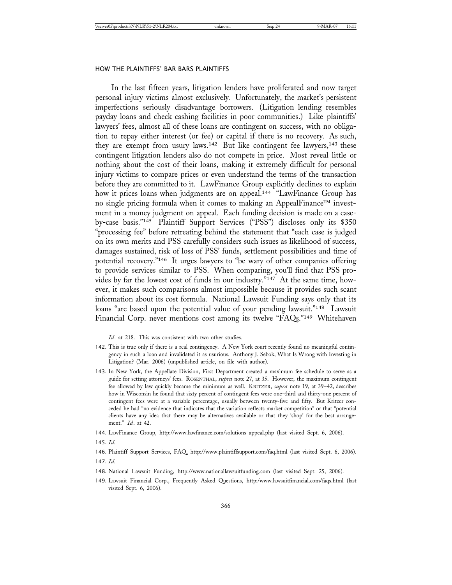In the last fifteen years, litigation lenders have proliferated and now target personal injury victims almost exclusively. Unfortunately, the market's persistent imperfections seriously disadvantage borrowers. (Litigation lending resembles payday loans and check cashing facilities in poor communities.) Like plaintiffs' lawyers' fees, almost all of these loans are contingent on success, with no obligation to repay either interest (or fee) or capital if there is no recovery. As such, they are exempt from usury laws.<sup>142</sup> But like contingent fee lawyers,<sup>143</sup> these contingent litigation lenders also do not compete in price. Most reveal little or nothing about the cost of their loans, making it extremely difficult for personal injury victims to compare prices or even understand the terms of the transaction before they are committed to it. LawFinance Group explicitly declines to explain how it prices loans when judgments are on appeal.<sup>144</sup> "LawFinance Group has no single pricing formula when it comes to making an AppealFinance<sup> $TM$ </sup> investment in a money judgment on appeal. Each funding decision is made on a caseby-case basis."145 Plaintiff Support Services ("PSS") discloses only its \$350 "processing fee" before retreating behind the statement that "each case is judged on its own merits and PSS carefully considers such issues as likelihood of success, damages sustained, risk of loss of PSS' funds, settlement possibilities and time of potential recovery."146 It urges lawyers to "be wary of other companies offering to provide services similar to PSS. When comparing, you'll find that PSS provides by far the lowest cost of funds in our industry."147 At the same time, however, it makes such comparisons almost impossible because it provides such scant information about its cost formula. National Lawsuit Funding says only that its loans "are based upon the potential value of your pending lawsuit."<sup>148</sup> Lawsuit Financial Corp. never mentions cost among its twelve "FAQs."<sup>149</sup> Whitehaven

145. *Id.*

147. *Id.*

*Id*. at 218. This was consistent with two other studies.

<sup>142.</sup> This is true only if there is a real contingency. A New York court recently found no meaningful contingency in such a loan and invalidated it as usurious. Anthony J. Sebok, What Is Wrong with Investing in Litigation? (Mar. 2006) (unpublished article, on file with author).

<sup>143.</sup> In New York, the Appellate Division, First Department created a maximum fee schedule to serve as a guide for setting attorneys' fees. ROSENTHAL, *supra* note 27, at 35. However, the maximum contingent fee allowed by law quickly became the minimum as well. KRITZER, *supra* note 19, at 39–42, describes how in Wisconsin he found that sixty percent of contingent fees were one-third and thirty-one percent of contingent fees were at a variable percentage, usually between twenty-five and fifty. But Kritzer conceded he had "no evidence that indicates that the variation reflects market competition" or that "potential clients have any idea that there may be alternatives available or that they 'shop' for the best arrangement." *Id*. at 42.

<sup>144.</sup> LawFinance Group, http://www.lawfinance.com/solutions\_appeal.php (last visited Sept. 6, 2006).

<sup>146.</sup> Plaintiff Support Services, FAQ, http://www.plaintiffsupport.com/faq.html (last visited Sept. 6, 2006).

<sup>148.</sup> National Lawsuit Funding, http://www.nationallawsuitfunding.com (last visited Sept. 25, 2006).

<sup>149.</sup> Lawsuit Financial Corp., Frequently Asked Questions, http:/www.lawsuitfinancial.com/faqs.html (last visited Sept. 6, 2006).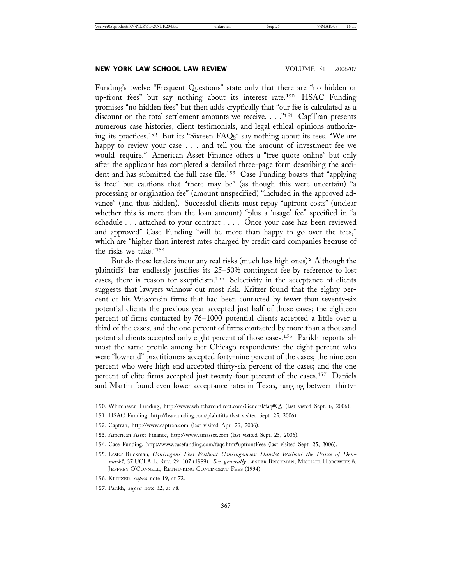#### **NEW YORK LAW SCHOOL LAW REVIEW VOLUME 51 2006/07**

Funding's twelve "Frequent Questions" state only that there are "no hidden or up-front fees" but say nothing about its interest rate.150 HSAC Funding promises "no hidden fees" but then adds cryptically that "our fee is calculated as a discount on the total settlement amounts we receive. . . ."151 CapTran presents numerous case histories, client testimonials, and legal ethical opinions authorizing its practices.152 But its "Sixteen FAQs" say nothing about its fees. "We are happy to review your case . . . and tell you the amount of investment fee we would require." American Asset Finance offers a "free quote online" but only after the applicant has completed a detailed three-page form describing the accident and has submitted the full case file.153 Case Funding boasts that "applying is free" but cautions that "there may be" (as though this were uncertain) "a processing or origination fee" (amount unspecified) "included in the approved advance" (and thus hidden). Successful clients must repay "upfront costs" (unclear whether this is more than the loan amount) "plus a 'usage' fee" specified in "a schedule . . . attached to your contract . . . . Once your case has been reviewed and approved" Case Funding "will be more than happy to go over the fees," which are "higher than interest rates charged by credit card companies because of the risks we take."154

But do these lenders incur any real risks (much less high ones)? Although the plaintiffs' bar endlessly justifies its 25–50% contingent fee by reference to lost cases, there is reason for skepticism.155 Selectivity in the acceptance of clients suggests that lawyers winnow out most risk. Kritzer found that the eighty percent of his Wisconsin firms that had been contacted by fewer than seventy-six potential clients the previous year accepted just half of those cases; the eighteen percent of firms contacted by 76–1000 potential clients accepted a little over a third of the cases; and the one percent of firms contacted by more than a thousand potential clients accepted only eight percent of those cases.156 Parikh reports almost the same profile among her Chicago respondents: the eight percent who were "low-end" practitioners accepted forty-nine percent of the cases; the nineteen percent who were high end accepted thirty-six percent of the cases; and the one percent of elite firms accepted just twenty-four percent of the cases.157 Daniels and Martin found even lower acceptance rates in Texas, ranging between thirty-

<sup>150.</sup> Whitehaven Funding, http://www.whitehavendirect.com/General/faq#Q9 (last visted Sept. 6, 2006).

<sup>151.</sup> HSAC Funding, http://hsacfunding.com/plaintiffs (last visited Sept. 25, 2006).

<sup>152.</sup> Captran, http://www.captran.com (last visited Apr. 29, 2006).

<sup>153.</sup> American Asset Finance, http://www.amasset.com (last visited Sept. 25, 2006).

<sup>154.</sup> Case Funding, http://www.casefunding.com/faqs.htm#upfrontFees (last visited Sept. 25, 2006).

<sup>155.</sup> Lester Brickman, *Contingent Fees Without Contingencies: Hamlet Without the Prince of Denmark?*, 37 UCLA L. REV. 29, 107 (1989). *See generally* LESTER BRICKMAN, MICHAEL HOROWITZ & JEFFREY O'CONNELL, RETHINKING CONTINGENT FEES (1994).

<sup>156.</sup> KRITZER, *supra* note 19, at 72.

<sup>157.</sup> Parikh, *supra* note 32, at 78.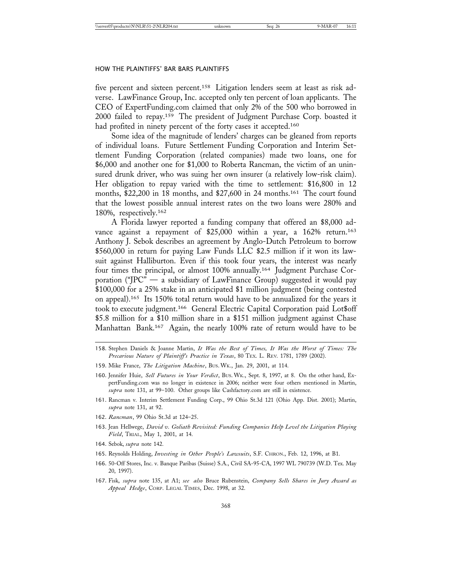five percent and sixteen percent.158 Litigation lenders seem at least as risk adverse. LawFinance Group, Inc. accepted only ten percent of loan applicants. The CEO of ExpertFunding.com claimed that only 2% of the 500 who borrowed in 2000 failed to repay.159 The president of Judgment Purchase Corp. boasted it had profited in ninety percent of the forty cases it accepted.<sup>160</sup>

Some idea of the magnitude of lenders' charges can be gleaned from reports of individual loans. Future Settlement Funding Corporation and Interim Settlement Funding Corporation (related companies) made two loans, one for \$6,000 and another one for \$1,000 to Roberta Rancman, the victim of an uninsured drunk driver, who was suing her own insurer (a relatively low-risk claim). Her obligation to repay varied with the time to settlement: \$16,800 in 12 months, \$22,200 in 18 months, and \$27,600 in 24 months.161 The court found that the lowest possible annual interest rates on the two loans were 280% and 180%, respectively.162

A Florida lawyer reported a funding company that offered an \$8,000 advance against a repayment of \$25,000 within a year, a 162% return.<sup>163</sup> Anthony J. Sebok describes an agreement by Anglo-Dutch Petroleum to borrow \$560,000 in return for paying Law Funds LLC \$2.5 million if it won its lawsuit against Halliburton. Even if this took four years, the interest was nearly four times the principal, or almost 100% annually.164 Judgment Purchase Corporation ("JPC" — a subsidiary of LawFinance Group) suggested it would pay \$100,000 for a 25% stake in an anticipated \$1 million judgment (being contested on appeal).165 Its 150% total return would have to be annualized for the years it took to execute judgment.166 General Electric Capital Corporation paid Lot\$off \$5.8 million for a \$10 million share in a \$151 million judgment against Chase Manhattan Bank.167 Again, the nearly 100% rate of return would have to be

- 158. Stephen Daniels & Joanne Martin, *It Was the Best of Times, It Was the Worst of Times: The Precarious Nature of Plaintiff's Practice in Texas*, 80 TEX. L. REV. 1781, 1789 (2002).
- 159. Mike France, *The Litigation Machine*, BUS. WK., Jan. 29, 2001, at 114.
- 160. Jennifer Huie, *Sell Futures in Your Verdict*, BUS. WK., Sept. 8, 1997, at 8. On the other hand, ExpertFunding.com was no longer in existence in 2006; neither were four others mentioned in Martin, *supra* note 131, at 99–100. Other groups like Cashfactory.com are still in existence.
- 161. Rancman v. Interim Settlement Funding Corp., 99 Ohio St.3d 121 (Ohio App. Dist. 2001); Martin, *supra* note 131, at 92.
- 162. *Rancman*, 99 Ohio St.3d at 124–25.
- 163. Jean Hellwege, *David v. Goliath Revisited: Funding Companies Help Level the Litigation Playing Field*, TRIAL, May 1, 2001, at 14.
- 164. Sebok, *supra* note 142.
- 165. Reynolds Holding, *Investing in Other People's Lawsuits*, S.F. CHRON., Feb. 12, 1996, at B1.
- 166. 50-Off Stores, Inc. v. Banque Paribas (Suisse) S.A., Civil SA-95-CA, 1997 WL 790739 (W.D. Tex. May 20, 1997).
- 167. Fisk, *supra* note 135, at A1; *see also* Bruce Rubenstein, *Company Sells Shares in Jury Award as Appeal Hedge*, CORP. LEGAL TIMES, Dec. 1998, at 32.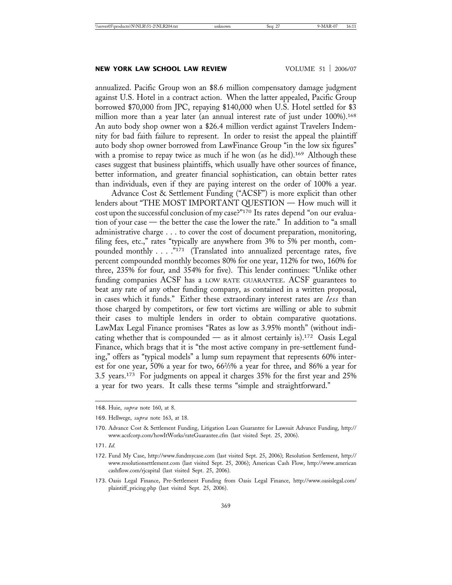annualized. Pacific Group won an \$8.6 million compensatory damage judgment against U.S. Hotel in a contract action. When the latter appealed, Pacific Group borrowed \$70,000 from JPC, repaying \$140,000 when U.S. Hotel settled for \$3 million more than a year later (an annual interest rate of just under 100%).<sup>168</sup> An auto body shop owner won a \$26.4 million verdict against Travelers Indemnity for bad faith failure to represent. In order to resist the appeal the plaintiff auto body shop owner borrowed from LawFinance Group "in the low six figures" with a promise to repay twice as much if he won (as he did).<sup>169</sup> Although these cases suggest that business plaintiffs, which usually have other sources of finance, better information, and greater financial sophistication, can obtain better rates than individuals, even if they are paying interest on the order of 100% a year.

Advance Cost & Settlement Funding ("ACSF") is more explicit than other lenders about "THE MOST IMPORTANT QUESTION — How much will it cost upon the successful conclusion of my case?"170 Its rates depend "on our evaluation of your case — the better the case the lower the rate." In addition to "a small administrative charge . . . to cover the cost of document preparation, monitoring, filing fees, etc.," rates "typically are anywhere from 3% to 5% per month, compounded monthly . . . . "171 (Translated into annualized percentage rates, five percent compounded monthly becomes 80% for one year, 112% for two, 160% for three, 235% for four, and 354% for five). This lender continues: "Unlike other funding companies ACSF has a LOW RATE GUARANTEE. ACSF guarantees to beat any rate of any other funding company, as contained in a written proposal, in cases which it funds." Either these extraordinary interest rates are *less* than those charged by competitors, or few tort victims are willing or able to submit their cases to multiple lenders in order to obtain comparative quotations. LawMax Legal Finance promises "Rates as low as 3.95% month" (without indicating whether that is compounded — as it almost certainly is).172 Oasis Legal Finance, which brags that it is "the most active company in pre-settlement funding," offers as "typical models" a lump sum repayment that represents 60% interest for one year, 50% a year for two, 662 /3% a year for three, and 86% a year for 3.5 years.173 For judgments on appeal it charges 35% for the first year and 25% a year for two years. It calls these terms "simple and straightforward."

<sup>168.</sup> Huie, *supra* note 160, at 8.

<sup>169.</sup> Hellwege, *supra* note 163, at 18.

<sup>170.</sup> Advance Cost & Settlement Funding, Litigation Loan Guarantee for Lawsuit Advance Funding, http:// www.acsfcorp.com/howItWorks/rateGuarantee.cfm (last visited Sept. 25, 2006).

<sup>171.</sup> *Id.*

<sup>172.</sup> Fund My Case, http://www.fundmycase.com (last visited Sept. 25, 2006); Resolution Settlement, http:// www.resolutionsettlement.com (last visited Sept. 25, 2006); American Cash Flow, http://www.american cashflow.com/rjcapital (last visited Sept. 25, 2006).

<sup>173.</sup> Oasis Legal Finance, Pre-Settlement Funding from Oasis Legal Finance, http://www.oasislegal.com/ plaintiff\_pricing.php (last visited Sept. 25, 2006).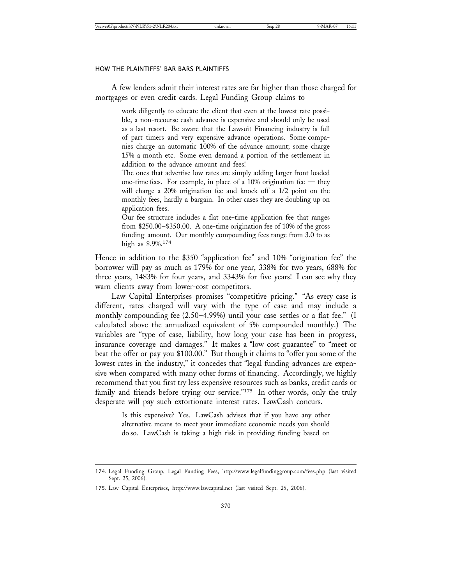A few lenders admit their interest rates are far higher than those charged for mortgages or even credit cards. Legal Funding Group claims to

> work diligently to educate the client that even at the lowest rate possible, a non-recourse cash advance is expensive and should only be used as a last resort. Be aware that the Lawsuit Financing industry is full of part timers and very expensive advance operations. Some companies charge an automatic 100% of the advance amount; some charge 15% a month etc. Some even demand a portion of the settlement in addition to the advance amount and fees!

> The ones that advertise low rates are simply adding larger front loaded one-time fees. For example, in place of a 10% origination fee  $-$  they will charge a 20% origination fee and knock off a 1/2 point on the monthly fees, hardly a bargain. In other cases they are doubling up on application fees.

> Our fee structure includes a flat one-time application fee that ranges from \$250.00–\$350.00. A one-time origination fee of 10% of the gross funding amount. Our monthly compounding fees range from 3.0 to as high as 8.9%.<sup>174</sup>

Hence in addition to the \$350 "application fee" and 10% "origination fee" the borrower will pay as much as 179% for one year, 338% for two years, 688% for three years, 1483% for four years, and 3343% for five years! I can see why they warn clients away from lower-cost competitors.

Law Capital Enterprises promises "competitive pricing." "As every case is different, rates charged will vary with the type of case and may include a monthly compounding fee (2.50–4.99%) until your case settles or a flat fee." (I calculated above the annualized equivalent of 5% compounded monthly.) The variables are "type of case, liability, how long your case has been in progress, insurance coverage and damages." It makes a "low cost guarantee" to "meet or beat the offer or pay you \$100.00." But though it claims to "offer you some of the lowest rates in the industry," it concedes that "legal funding advances are expensive when compared with many other forms of financing. Accordingly, we highly recommend that you first try less expensive resources such as banks, credit cards or family and friends before trying our service."<sup>175</sup> In other words, only the truly desperate will pay such extortionate interest rates. LawCash concurs.

Is this expensive? Yes. LawCash advises that if you have any other alternative means to meet your immediate economic needs you should do so. LawCash is taking a high risk in providing funding based on

<sup>174.</sup> Legal Funding Group, Legal Funding Fees, http://www.legalfundinggroup.com/fees.php (last visited Sept. 25, 2006).

<sup>175.</sup> Law Capital Enterprises, http://www.lawcapital.net (last visited Sept. 25, 2006).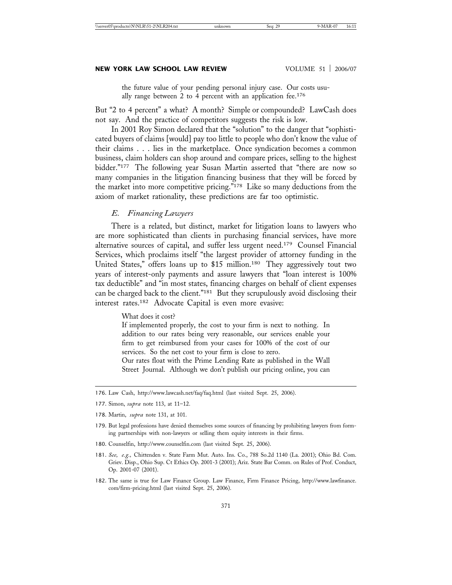the future value of your pending personal injury case. Our costs usually range between 2 to 4 percent with an application fee.<sup>176</sup>

But "2 to 4 percent" a what? A month? Simple or compounded? LawCash does not say. And the practice of competitors suggests the risk is low.

In 2001 Roy Simon declared that the "solution" to the danger that "sophisticated buyers of claims [would] pay too little to people who don't know the value of their claims . . . lies in the marketplace. Once syndication becomes a common business, claim holders can shop around and compare prices, selling to the highest bidder."177 The following year Susan Martin asserted that "there are now so many companies in the litigation financing business that they will be forced by the market into more competitive pricing."178 Like so many deductions from the axiom of market rationality, these predictions are far too optimistic.

#### *E. Financing Lawyers*

There is a related, but distinct, market for litigation loans to lawyers who are more sophisticated than clients in purchasing financial services, have more alternative sources of capital, and suffer less urgent need.179 Counsel Financial Services, which proclaims itself "the largest provider of attorney funding in the United States," offers loans up to \$15 million.180 They aggressively tout two years of interest-only payments and assure lawyers that "loan interest is 100% tax deductible" and "in most states, financing charges on behalf of client expenses can be charged back to the client."181 But they scrupulously avoid disclosing their interest rates.182 Advocate Capital is even more evasive:

What does it cost?

If implemented properly, the cost to your firm is next to nothing. In addition to our rates being very reasonable, our services enable your firm to get reimbursed from your cases for 100% of the cost of our services. So the net cost to your firm is close to zero.

Our rates float with the Prime Lending Rate as published in the Wall Street Journal. Although we don't publish our pricing online, you can

- 179. But legal professions have denied themselves some sources of financing by prohibiting lawyers from forming partnerships with non-lawyers or selling them equity interests in their firms.
- 180. Counselfin, http://www.counselfin.com (last visited Sept. 25, 2006).
- 181. *See, e.g.,* Chittenden v. State Farm Mut. Auto. Ins. Co., 788 So.2d 1140 (La. 2001); Ohio Bd. Com. Griev. Disp., Ohio Sup. Ct Ethics Op. 2001-3 (2001); Ariz. State Bar Comm. on Rules of Prof. Conduct, Op. 2001-07 (2001).
- 182. The same is true for Law Finance Group. Law Finance, Firm Finance Pricing, http://www.lawfinance. com/firm-pricing.html (last visited Sept. 25, 2006).

<sup>176.</sup> Law Cash, http://www.lawcash.net/faq/faq.html (last visited Sept. 25, 2006).

<sup>177.</sup> Simon, *supra* note 113, at 11–12.

<sup>178.</sup> Martin, *supra* note 131, at 101.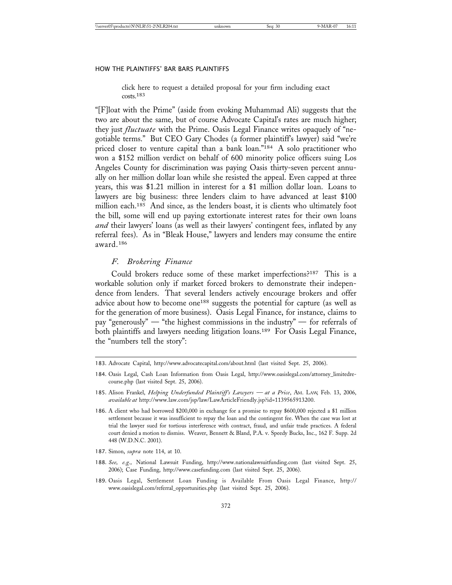click here to request a detailed proposal for your firm including exact costs.183

"[F]loat with the Prime" (aside from evoking Muhammad Ali) suggests that the two are about the same, but of course Advocate Capital's rates are much higher; they just *fluctuate* with the Prime. Oasis Legal Finance writes opaquely of "negotiable terms." But CEO Gary Chodes (a former plaintiff's lawyer) said "we're priced closer to venture capital than a bank loan."184 A solo practitioner who won a \$152 million verdict on behalf of 600 minority police officers suing Los Angeles County for discrimination was paying Oasis thirty-seven percent annually on her million dollar loan while she resisted the appeal. Even capped at three years, this was \$1.21 million in interest for a \$1 million dollar loan. Loans to lawyers are big business: three lenders claim to have advanced at least \$100 million each.<sup>185</sup> And since, as the lenders boast, it is clients who ultimately foot the bill, some will end up paying extortionate interest rates for their own loans *and* their lawyers' loans (as well as their lawyers' contingent fees, inflated by any referral fees). As in "Bleak House," lawyers and lenders may consume the entire award.186

# *F. Brokering Finance*

Could brokers reduce some of these market imperfections?187 This is a workable solution only if market forced brokers to demonstrate their independence from lenders. That several lenders actively encourage brokers and offer advice about how to become one<sup>188</sup> suggests the potential for capture (as well as for the generation of more business). Oasis Legal Finance, for instance, claims to pay "generously" — "the highest commissions in the industry" — for referrals of both plaintiffs and lawyers needing litigation loans.<sup>189</sup> For Oasis Legal Finance, the "numbers tell the story":

- 185. Alison Frankel, *Helping Underfunded Plaintiff's Lawyers at a Price*, AM. LAW, Feb. 13, 2006, *available at* http://www.law.com/jsp/law/LawArticleFriendly.jsp?id=1139565913200.
- 186. A client who had borrowed \$200,000 in exchange for a promise to repay \$600,000 rejected a \$1 million settlement because it was insufficient to repay the loan and the contingent fee. When the case was lost at trial the lawyer sued for tortious interference with contract, fraud, and unfair trade practices. A federal court denied a motion to dismiss. Weaver, Bennett & Bland, P.A. v. Speedy Bucks, Inc., 162 F. Supp. 2d 448 (W.D.N.C. 2001).
- 187. Simon, *supra* note 114, at 10.
- 188. *See, e.g.,* National Lawsuit Funding, http://www.nationalawsuitfunding.com (last visited Sept. 25, 2006); Case Funding, http://www.casefunding.com (last visited Sept. 25, 2006).
- 189. Oasis Legal, Settlement Loan Funding is Available From Oasis Legal Finance, http:// www.oasislegal.com/referral\_opportunities.php (last visited Sept. 25, 2006).

<sup>183.</sup> Advocate Capital, http://www.advocatecapital.com/about.html (last visited Sept. 25, 2006).

<sup>184.</sup> Oasis Legal, Cash Loan Information from Oasis Legal, http://www.oasislegal.com/attorney\_limitedrecourse.php (last visited Sept. 25, 2006).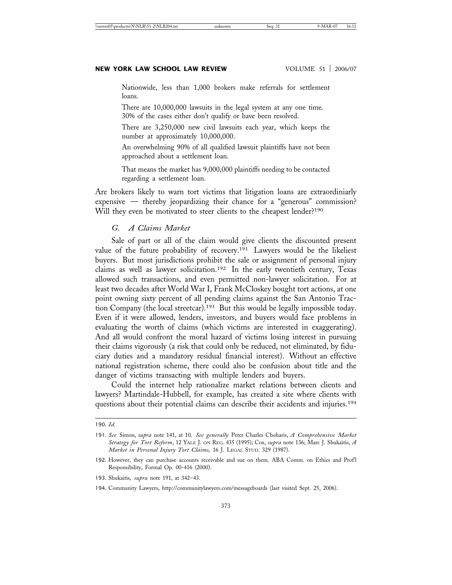Nationwide, less than 1,000 brokers make referrals for settlement loans.

There are 10,000,000 lawsuits in the legal system at any one time. 30% of the cases either don't qualify or have been resolved.

There are 3,250,000 new civil lawsuits each year, which keeps the number at approximately 10,000,000.

An overwhelming 90% of all qualified lawsuit plaintiffs have not been approached about a settlement loan.

That means the market has 9,000,000 plaintiffs needing to be contacted regarding a settlement loan.

Are brokers likely to warn tort victims that litigation loans are extraordiniarly expensive — thereby jeopardizing their chance for a "generous" commission? Will they even be motivated to steer clients to the cheapest lender?<sup>190</sup>

# *G. A Claims Market*

Sale of part or all of the claim would give clients the discounted present value of the future probability of recovery.<sup>191</sup> Lawyers would be the likeliest buyers. But most jurisdictions prohibit the sale or assignment of personal injury claims as well as lawyer solicitation.192 In the early twentieth century, Texas allowed such transactions, and even permitted non-lawyer solicitation. For at least two decades after World War I, Frank McCloskey bought tort actions, at one point owning sixty percent of all pending claims against the San Antonio Traction Company (the local streetcar).193 But this would be legally impossible today. Even if it were allowed, lenders, investors, and buyers would face problems in evaluating the worth of claims (which victims are interested in exaggerating). And all would confront the moral hazard of victims losing interest in pursuing their claims vigorously (a risk that could only be reduced, not eliminated, by fiduciary duties and a mandatory residual financial interest). Without an effective national registration scheme, there could also be confusion about title and the danger of victims transacting with multiple lenders and buyers.

Could the internet help rationalize market relations between clients and lawyers? Martindale-Hubbell, for example, has created a site where clients with questions about their potential claims can describe their accidents and injuries.194

<sup>190.</sup> *Id.*

<sup>191.</sup> *See* Simon, *supra* note 141, at 10. *See generally* Peter Charles Choharis, *A Comprehensive Market Strategy for Tort Reform*, 12 YALE J. ON REG. 435 (1995); Cox, *supra* note 136; Marc J. Shukaitis, *A Market in Personal Injury Tort Claims,* 16 J. LEGAL STUD. 329 (1987).

<sup>192.</sup> However, they can purchase accounts receivable and sue on them. ABA Comm. on Ethics and Prof'l Responsibility, Formal Op. 00-416 (2000).

<sup>193.</sup> Shukaitis, *supra* note 191, at 342–43.

<sup>194.</sup> Community Lawyers, http://communitylawyers.com/messageboards (last visited Sept. 25, 2006).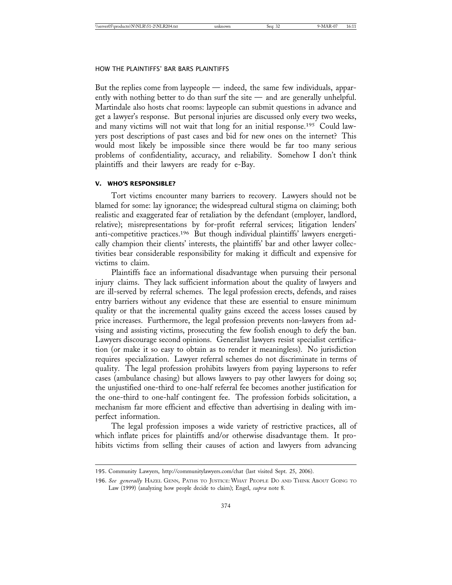But the replies come from laypeople — indeed, the same few individuals, apparently with nothing better to do than surf the site — and are generally unhelpful. Martindale also hosts chat rooms: laypeople can submit questions in advance and get a lawyer's response. But personal injuries are discussed only every two weeks, and many victims will not wait that long for an initial response.195 Could lawyers post descriptions of past cases and bid for new ones on the internet? This would most likely be impossible since there would be far too many serious problems of confidentiality, accuracy, and reliability. Somehow I don't think plaintiffs and their lawyers are ready for e-Bay.

#### **V. WHO'S RESPONSIBLE?**

Tort victims encounter many barriers to recovery. Lawyers should not be blamed for some: lay ignorance; the widespread cultural stigma on claiming; both realistic and exaggerated fear of retaliation by the defendant (employer, landlord, relative); misrepresentations by for-profit referral services; litigation lenders' anti-competitive practices.196 But though individual plaintiffs' lawyers energetically champion their clients' interests, the plaintiffs' bar and other lawyer collectivities bear considerable responsibility for making it difficult and expensive for victims to claim.

Plaintiffs face an informational disadvantage when pursuing their personal injury claims. They lack sufficient information about the quality of lawyers and are ill-served by referral schemes. The legal profession erects, defends, and raises entry barriers without any evidence that these are essential to ensure minimum quality or that the incremental quality gains exceed the access losses caused by price increases. Furthermore, the legal profession prevents non-lawyers from advising and assisting victims, prosecuting the few foolish enough to defy the ban. Lawyers discourage second opinions. Generalist lawyers resist specialist certification (or make it so easy to obtain as to render it meaningless). No jurisdiction requires specialization. Lawyer referral schemes do not discriminate in terms of quality. The legal profession prohibits lawyers from paying laypersons to refer cases (ambulance chasing) but allows lawyers to pay other lawyers for doing so; the unjustified one-third to one-half referral fee becomes another justification for the one-third to one-half contingent fee. The profession forbids solicitation, a mechanism far more efficient and effective than advertising in dealing with imperfect information.

The legal profession imposes a wide variety of restrictive practices, all of which inflate prices for plaintiffs and/or otherwise disadvantage them. It prohibits victims from selling their causes of action and lawyers from advancing

<sup>195.</sup> Community Lawyers, http://communitylawyers.com/chat (last visited Sept. 25, 2006).

<sup>196.</sup> *See generally* HAZEL GENN, PATHS TO JUSTICE: WHAT PEOPLE DO AND THINK ABOUT GOING TO Law (1999) (analyzing how people decide to claim); Engel, *supra* note 8.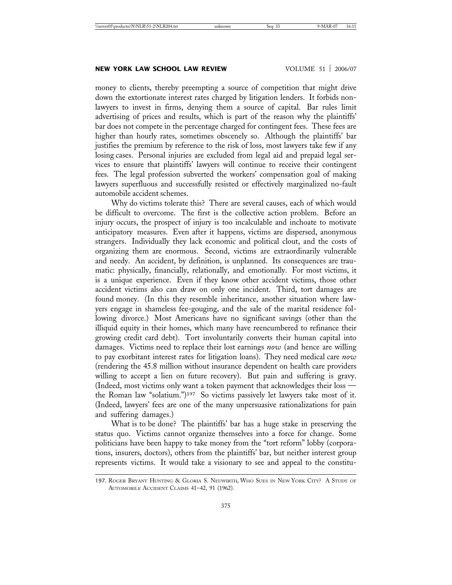#### **NEW YORK LAW SCHOOL LAW REVIEW VOLUME 51 | 2006/07**

money to clients, thereby preempting a source of competition that might drive down the extortionate interest rates charged by litigation lenders. It forbids nonlawyers to invest in firms, denying them a source of capital. Bar rules limit advertising of prices and results, which is part of the reason why the plaintiffs' bar does not compete in the percentage charged for contingent fees. These fees are higher than hourly rates, sometimes obscenely so. Although the plaintiffs' bar justifies the premium by reference to the risk of loss, most lawyers take few if any losing cases. Personal injuries are excluded from legal aid and prepaid legal services to ensure that plaintiffs' lawyers will continue to receive their contingent fees. The legal profession subverted the workers' compensation goal of making lawyers superfluous and successfully resisted or effectively marginalized no-fault automobile accident schemes.

Why do victims tolerate this? There are several causes, each of which would be difficult to overcome. The first is the collective action problem. Before an injury occurs, the prospect of injury is too incalculable and inchoate to motivate anticipatory measures. Even after it happens, victims are dispersed, anonymous strangers. Individually they lack economic and political clout, and the costs of organizing them are enormous. Second, victims are extraordinarily vulnerable and needy. An accident, by definition, is unplanned. Its consequences are traumatic: physically, financially, relationally, and emotionally. For most victims, it is a unique experience. Even if they know other accident victims, those other accident victims also can draw on only one incident. Third, tort damages are found money. (In this they resemble inheritance, another situation where lawyers engage in shameless fee-gouging, and the sale of the marital residence following divorce.) Most Americans have no significant savings (other than the illiquid equity in their homes, which many have reencumbered to refinance their growing credit card debt). Tort involuntarily converts their human capital into damages. Victims need to replace their lost earnings *now* (and hence are willing to pay exorbitant interest rates for litigation loans). They need medical care *now* (rendering the 45.8 million without insurance dependent on health care providers willing to accept a lien on future recovery). But pain and suffering is gravy. (Indeed, most victims only want a token payment that acknowledges their loss the Roman law "solatium.")197 So victims passively let lawyers take most of it. (Indeed, lawyers' fees are one of the many unpersuasive rationalizations for pain and suffering damages.)

What is to be done? The plaintiffs' bar has a huge stake in preserving the status quo. Victims cannot organize themselves into a force for change. Some politicians have been happy to take money from the "tort reform" lobby (corporations, insurers, doctors), others from the plaintiffs' bar, but neither interest group represents victims. It would take a visionary to see and appeal to the constitu-

<sup>197.</sup> ROGER BRYANT HUNTING & GLORIA S. NEUWIRTH, WHO SUES IN NEW YORK CITY? A STUDY OF AUTOMOBILE ACCIDENT CLAIMS 41–42, 91 (1962).